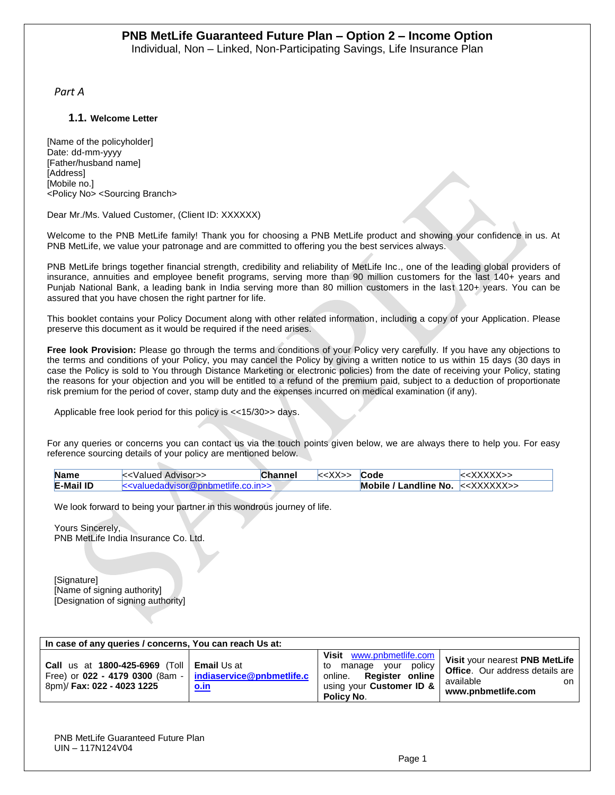*Part A*

#### **1.1. Welcome Letter**

[Name of the policyholder] Date: dd-mm-yyyy [Father/husband name] [Address] [Mobile no.] <Policy No> <Sourcing Branch>

#### Dear Mr./Ms. Valued Customer, (Client ID: XXXXXX)

Welcome to the PNB MetLife family! Thank you for choosing a PNB MetLife product and showing your confidence in us. At PNB MetLife, we value your patronage and are committed to offering you the best services always.

PNB MetLife brings together financial strength, credibility and reliability of MetLife Inc., one of the leading global providers of insurance, annuities and employee benefit programs, serving more than 90 million customers for the last 140+ years and Punjab National Bank, a leading bank in India serving more than 80 million customers in the last 120+ years. You can be assured that you have chosen the right partner for life.

This booklet contains your Policy Document along with other related information, including a copy of your Application. Please preserve this document as it would be required if the need arises.

**Free look Provision:** Please go through the terms and conditions of your Policy very carefully. If you have any objections to the terms and conditions of your Policy, you may cancel the Policy by giving a written notice to us within 15 days (30 days in case the Policy is sold to You through Distance Marketing or electronic policies) from the date of receiving your Policy, stating the reasons for your objection and you will be entitled to a refund of the premium paid, subject to a deduction of proportionate risk premium for the period of cover, stamp duty and the expenses incurred on medical examination (if any).

Applicable free look period for this policy is <<15/30>> days.

For any queries or concerns you can contact us via the touch points given below, we are always there to help you. For easy reference sourcing details of your policy are mentioned below.

| <b>Name</b>      | i< <valued advisor="">&gt;</valued>    | <b>Channel</b> | Code                                   | :XXXXX>> |
|------------------|----------------------------------------|----------------|----------------------------------------|----------|
| <b>E-Mail ID</b> | $\le$ valuedadvisor@pnbmetlife.co.in>> |                | Mobile / Landline No. $\lt$ < XXXXXX>> |          |

We look forward to being your partner in this wondrous journey of life.

Yours Sincerely, PNB MetLife India Insurance Co. Ltd.

[Signature] [Name of signing authority] [Designation of signing authority]

| In case of any queries / concerns, You can reach Us at:                                                                                                          |             |                                                                                                                                              |                                                                                                                   |  |
|------------------------------------------------------------------------------------------------------------------------------------------------------------------|-------------|----------------------------------------------------------------------------------------------------------------------------------------------|-------------------------------------------------------------------------------------------------------------------|--|
| <b>Call</b> us at <b>1800-425-6969</b> (Toll   <b>Email</b> Us at<br>Free) or $022 - 4179 0300$ (8am -   indiaservice@pnbmetlife.c<br>8pm)/ Fax: 022 - 4023 1225 | <u>o.in</u> | Visit<br>www.pnbmetlife.com<br>policy<br>vour<br>manage<br>to<br><b>Register online</b><br>online.<br>using your Customer ID &<br>Policy No. | Visit your nearest PNB MetLife<br><b>Office.</b> Our address details are<br>available<br>on<br>www.pnbmetlife.com |  |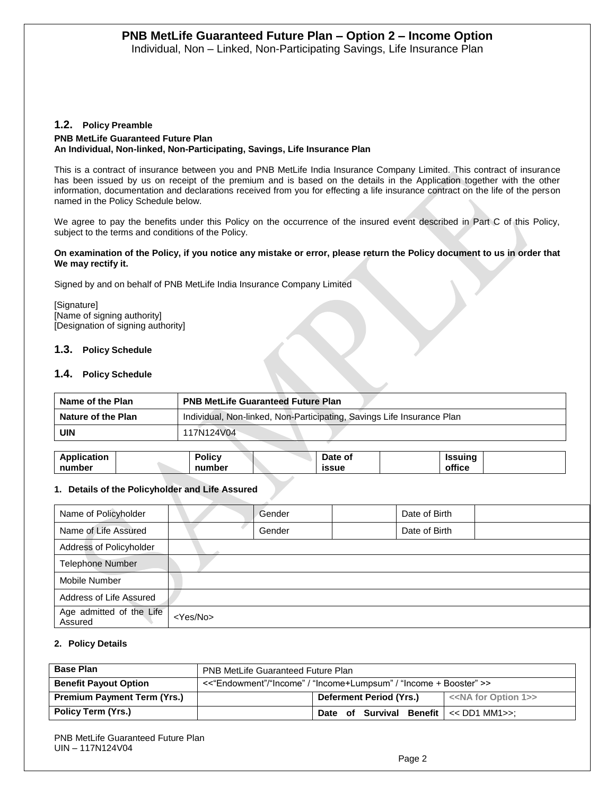#### **1.2. Policy Preamble**

### **PNB MetLife Guaranteed Future Plan An Individual, Non-linked, Non-Participating, Savings, Life Insurance Plan**

This is a contract of insurance between you and PNB MetLife India Insurance Company Limited. This contract of insurance has been issued by us on receipt of the premium and is based on the details in the Application together with the other information, documentation and declarations received from you for effecting a life insurance contract on the life of the person named in the Policy Schedule below.

We agree to pay the benefits under this Policy on the occurrence of the insured event described in Part C of this Policy, subject to the terms and conditions of the Policy.

#### **On examination of the Policy, if you notice any mistake or error, please return the Policy document to us in order that We may rectify it.**

Signed by and on behalf of PNB MetLife India Insurance Company Limited

[Signature] [Name of signing authority] [Designation of signing authority]

#### **1.3. Policy Schedule**

#### **1.4. Policy Schedule**

| Name of the Plan   | <b>PNB MetLife Guaranteed Future Plan</b>                              |
|--------------------|------------------------------------------------------------------------|
| Nature of the Plan | Individual, Non-linked, Non-Participating, Savings Life Insurance Plan |
| UIN                | 117N124V04                                                             |

| Application | . .<br>'olicy | Date of      | Issuina |  |
|-------------|---------------|--------------|---------|--|
| number      | number        | <b>issue</b> | office  |  |

#### **1. Details of the Policyholder and Life Assured**

| Name of Policyholder                |                   | Gender | Date of Birth |  |
|-------------------------------------|-------------------|--------|---------------|--|
| Name of Life Assured                |                   | Gender | Date of Birth |  |
| Address of Policyholder             |                   |        |               |  |
| <b>Telephone Number</b>             |                   |        |               |  |
| Mobile Number                       |                   |        |               |  |
| Address of Life Assured             |                   |        |               |  |
| Age admitted of the Life<br>Assured | <yes no=""></yes> |        |               |  |

#### **2. Policy Details**

| <b>Base Plan</b>                   | <b>PNB MetLife Guaranteed Future Plan</b>                         |                                       |  |  |
|------------------------------------|-------------------------------------------------------------------|---------------------------------------|--|--|
| <b>Benefit Payout Option</b>       | <<"Endowment"/"Income" / "Income+Lumpsum" / "Income + Booster" >> |                                       |  |  |
| <b>Premium Payment Term (Yrs.)</b> | Deferment Period (Yrs.)                                           | < <na 1="" for="" option="">&gt;</na> |  |  |
| Policy Term (Yrs.)                 | Date of Survival Benefit $\le$ DD1 MM1>>:                         |                                       |  |  |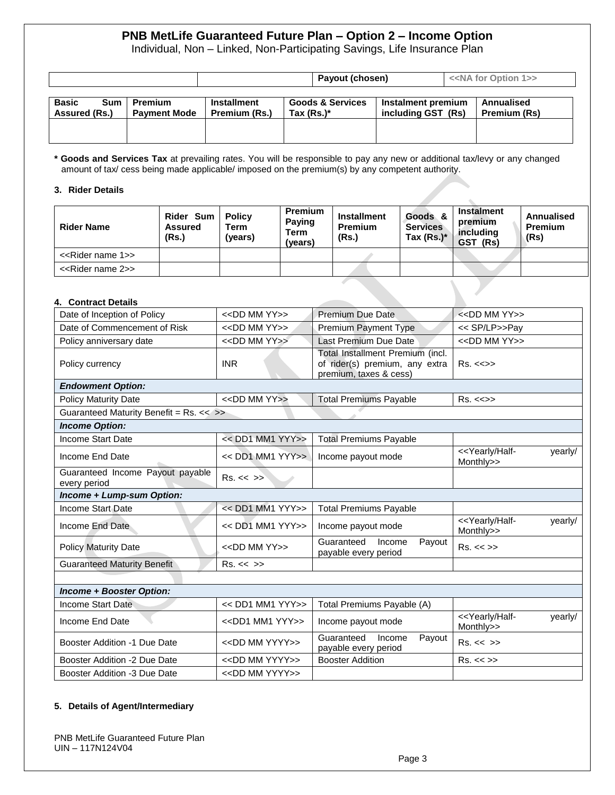Individual, Non – Linked, Non-Participating Savings, Life Insurance Plan

|                                                    |                                       | Payout (chosen)                     |                                              |                                          |  | < <na 1="" for="" option="">&gt;</na> |
|----------------------------------------------------|---------------------------------------|-------------------------------------|----------------------------------------------|------------------------------------------|--|---------------------------------------|
| <b>Basic</b><br><b>Sum</b><br><b>Assured (Rs.)</b> | <b>Premium</b><br><b>Payment Mode</b> | <b>Installment</b><br>Premium (Rs.) | <b>Goods &amp; Services</b><br>Tax $(Rs.)^*$ | Instalment premium<br>including GST (Rs) |  | Annualised<br>Premium (Rs)            |
|                                                    |                                       |                                     |                                              |                                          |  |                                       |

**\* Goods and Services Tax** at prevailing rates. You will be responsible to pay any new or additional tax/levy or any changed amount of tax/ cess being made applicable/ imposed on the premium(s) by any competent authority.

#### **3. Rider Details**

| <b>Rider Name</b>                  | Rider Sum   Policy<br><b>Assured</b><br>(Rs.) | Term<br>(years) | <b>Premium</b><br>Paying<br>Term<br>(vears) | <b>Installment</b><br><b>Premium</b><br>(Rs.) | Goods &<br><b>Services</b><br>Tax $(Rs.)^*$ | <b>Instalment</b><br>premium<br>includina<br>GST (Rs) | Annualised<br>Premium<br>(Rs) |
|------------------------------------|-----------------------------------------------|-----------------|---------------------------------------------|-----------------------------------------------|---------------------------------------------|-------------------------------------------------------|-------------------------------|
| < <rider 1="" name="">&gt;</rider> |                                               |                 |                                             |                                               |                                             |                                                       |                               |
| < <rider 2="" name="">&gt;</rider> |                                               |                 |                                             |                                               |                                             |                                                       |                               |

#### **4. Contract Details**

| Date of Inception of Policy                      | $<<$ DD MM YY $>>$            | <b>Premium Due Date</b>                                                                      | $<<$ DD MM YY $>>$                                         |
|--------------------------------------------------|-------------------------------|----------------------------------------------------------------------------------------------|------------------------------------------------------------|
| Date of Commencement of Risk                     | $<<$ DD MM YY $>>$            | <b>Premium Payment Type</b>                                                                  | << SP/LP>>Pay                                              |
| Policy anniversary date                          | < <dd mm="" yy="">&gt;</dd>   | Last Premium Due Date                                                                        | $<<$ DD MM YY $>>$                                         |
| Policy currency                                  | <b>INR</b>                    | Total Installment Premium (incl.<br>of rider(s) premium, any extra<br>premium, taxes & cess) | $Rs. < \Leftrightarrow$                                    |
| <b>Endowment Option:</b>                         |                               |                                                                                              |                                                            |
| <b>Policy Maturity Date</b>                      | $<<$ DD MM YY $>>$            | <b>Total Premiums Payable</b>                                                                | Rs. < >>                                                   |
| Guaranteed Maturity Benefit = Rs. << >>          |                               |                                                                                              |                                                            |
| <b>Income Option:</b>                            |                               |                                                                                              |                                                            |
| <b>Income Start Date</b>                         | << DD1 MM1 YYY>>              | <b>Total Premiums Payable</b>                                                                |                                                            |
| Income End Date                                  | << DD1 MM1 YYY>>              | Income payout mode                                                                           | < <yearly half-<br="">yearly/<br/>Monthly&gt;&gt;</yearly> |
| Guaranteed Income Payout payable<br>every period | Rs. < < >>                    |                                                                                              |                                                            |
| Income + Lump-sum Option:                        |                               |                                                                                              |                                                            |
| Income Start Date                                | << DD1 MM1 YYY>>              | <b>Total Premiums Payable</b>                                                                |                                                            |
| Income End Date                                  | << DD1 MM1 YYY>>              | Income payout mode                                                                           | < <yearly half-<br="">yearly/<br/>Monthly&gt;&gt;</yearly> |
| <b>Policy Maturity Date</b>                      | $<<$ DD MM YY $>>$            | Guaranteed<br>Income<br>Payout<br>payable every period                                       | Rs. < >>                                                   |
| <b>Guaranteed Maturity Benefit</b>               | Rs. < < >>                    |                                                                                              |                                                            |
|                                                  |                               |                                                                                              |                                                            |
| <b>Income + Booster Option:</b>                  |                               |                                                                                              |                                                            |
| <b>Income Start Date</b>                         | << DD1 MM1 YYY>>              | Total Premiums Payable (A)                                                                   |                                                            |
| Income End Date                                  | $<<$ DD1 MM1 YYY>>            | Income payout mode                                                                           | < <yearly half-<br="">yearly/<br/>Monthly&gt;&gt;</yearly> |
| <b>Booster Addition -1 Due Date</b>              | < <dd mm="" yyyy="">&gt;</dd> | Guaranteed<br>Income<br>Payout<br>payable every period                                       | Rs. < < >>                                                 |
| Booster Addition -2 Due Date                     | < <dd mm="" yyyy="">&gt;</dd> | <b>Booster Addition</b>                                                                      | Rs. < >>                                                   |
| Booster Addition -3 Due Date                     | < <dd mm="" yyyy="">&gt;</dd> |                                                                                              |                                                            |

#### **5. Details of Agent/Intermediary**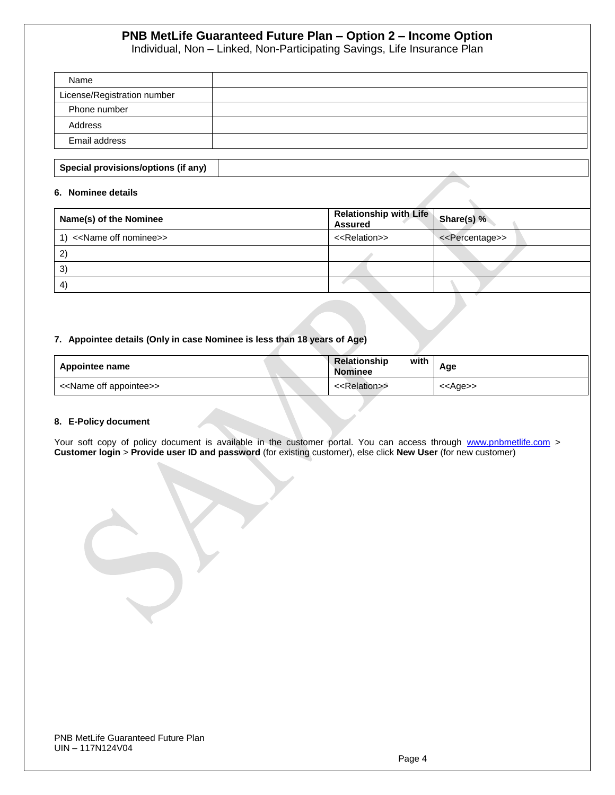Individual, Non – Linked, Non-Participating Savings, Life Insurance Plan

| Name                                |  |
|-------------------------------------|--|
| License/Registration number         |  |
| Phone number                        |  |
| Address                             |  |
| Email address                       |  |
|                                     |  |
| Special provisions/options (if any) |  |

#### **6. Nominee details**

| Name(s) of the Nominee                   | <b>Relationship with Life</b><br><b>Assured</b> | Share(s) %                      |
|------------------------------------------|-------------------------------------------------|---------------------------------|
| 1) < <name nominee="" off="">&gt;</name> | < <relation>&gt;</relation>                     | < <percentage>&gt;</percentage> |
| $\mathbf{2}$                             |                                                 |                                 |
| 3)                                       |                                                 |                                 |
| $\left( 4\right)$                        |                                                 |                                 |

#### **7. Appointee details (Only in case Nominee is less than 18 years of Age)**

| Appointee name                          | Relationship<br>with<br><b>Nominee</b> | Age               |
|-----------------------------------------|----------------------------------------|-------------------|
| < <name appointee="" off="">&gt;</name> | < <relation>&gt;</relation>            | < <age>&gt;</age> |

#### **8. E-Policy document**

Your soft copy of policy document is available in the customer portal. You can access through [www.pnbmetlife.com](http://www.pnbmetlife.com/) > **Customer login** > **Provide user ID and password** (for existing customer), else click **New User** (for new customer)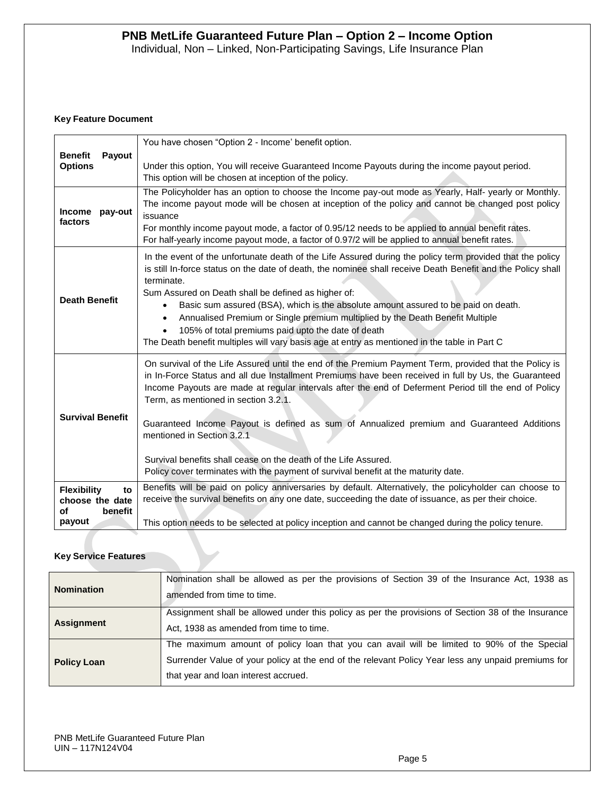#### **Key Feature Document**

|                                                                        | You have chosen "Option 2 - Income' benefit option.                                                                                                                                                                                                                                                                                                                                                                                                                                                                                                                                                                                                  |  |  |  |  |  |  |
|------------------------------------------------------------------------|------------------------------------------------------------------------------------------------------------------------------------------------------------------------------------------------------------------------------------------------------------------------------------------------------------------------------------------------------------------------------------------------------------------------------------------------------------------------------------------------------------------------------------------------------------------------------------------------------------------------------------------------------|--|--|--|--|--|--|
| <b>Benefit</b><br>Payout<br><b>Options</b>                             | Under this option, You will receive Guaranteed Income Payouts during the income payout period.<br>This option will be chosen at inception of the policy.                                                                                                                                                                                                                                                                                                                                                                                                                                                                                             |  |  |  |  |  |  |
| <b>Income</b><br>pay-out<br>factors                                    | The Policyholder has an option to choose the Income pay-out mode as Yearly, Half- yearly or Monthly.<br>The income payout mode will be chosen at inception of the policy and cannot be changed post policy<br>issuance<br>For monthly income payout mode, a factor of 0.95/12 needs to be applied to annual benefit rates.<br>For half-yearly income payout mode, a factor of 0.97/2 will be applied to annual benefit rates.                                                                                                                                                                                                                        |  |  |  |  |  |  |
| <b>Death Benefit</b>                                                   | In the event of the unfortunate death of the Life Assured during the policy term provided that the policy<br>is still In-force status on the date of death, the nominee shall receive Death Benefit and the Policy shall<br>terminate.<br>Sum Assured on Death shall be defined as higher of:<br>Basic sum assured (BSA), which is the absolute amount assured to be paid on death.<br>$\bullet$<br>Annualised Premium or Single premium multiplied by the Death Benefit Multiple<br>$\bullet$<br>105% of total premiums paid upto the date of death<br>The Death benefit multiples will vary basis age at entry as mentioned in the table in Part C |  |  |  |  |  |  |
| <b>Survival Benefit</b>                                                | On survival of the Life Assured until the end of the Premium Payment Term, provided that the Policy is<br>in In-Force Status and all due Installment Premiums have been received in full by Us, the Guaranteed<br>Income Payouts are made at regular intervals after the end of Deferment Period till the end of Policy<br>Term, as mentioned in section 3.2.1.<br>Guaranteed Income Payout is defined as sum of Annualized premium and Guaranteed Additions<br>mentioned in Section 3.2.1<br>Survival benefits shall cease on the death of the Life Assured.<br>Policy cover terminates with the payment of survival benefit at the maturity date.  |  |  |  |  |  |  |
| <b>Flexibility</b><br>to<br>choose the date<br>benefit<br>οf<br>payout | Benefits will be paid on policy anniversaries by default. Alternatively, the policyholder can choose to<br>receive the survival benefits on any one date, succeeding the date of issuance, as per their choice.<br>This option needs to be selected at policy inception and cannot be changed during the policy tenure.                                                                                                                                                                                                                                                                                                                              |  |  |  |  |  |  |

#### **Key Service Features**

| <b>Nomination</b>  | Nomination shall be allowed as per the provisions of Section 39 of the Insurance Act, 1938 as<br>amended from time to time.                                                                                                              |
|--------------------|------------------------------------------------------------------------------------------------------------------------------------------------------------------------------------------------------------------------------------------|
| <b>Assignment</b>  | Assignment shall be allowed under this policy as per the provisions of Section 38 of the Insurance<br>Act, 1938 as amended from time to time.                                                                                            |
| <b>Policy Loan</b> | The maximum amount of policy loan that you can avail will be limited to 90% of the Special<br>Surrender Value of your policy at the end of the relevant Policy Year less any unpaid premiums for<br>that year and loan interest accrued. |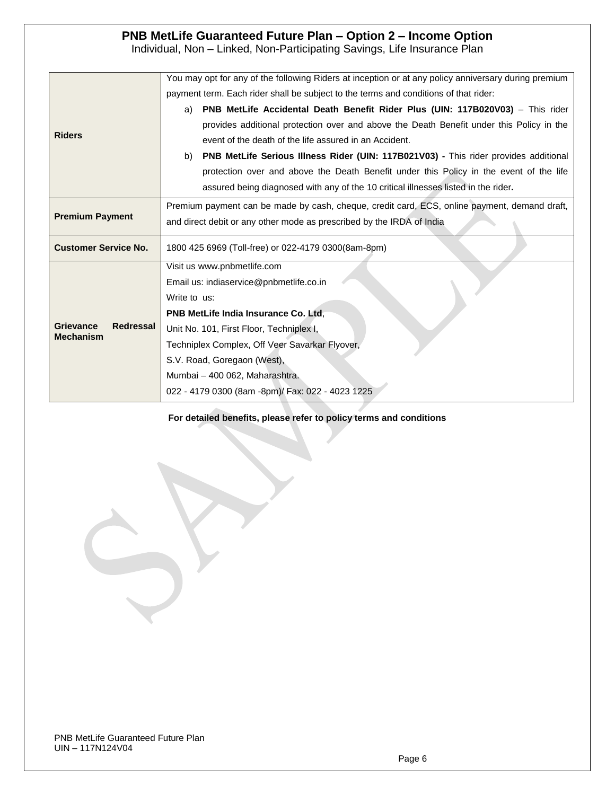# Individual, Non – Linked, Non-Participating Savings, Life Insurance Plan

|                                                          | You may opt for any of the following Riders at inception or at any policy anniversary during premium |  |  |  |  |  |  |
|----------------------------------------------------------|------------------------------------------------------------------------------------------------------|--|--|--|--|--|--|
|                                                          | payment term. Each rider shall be subject to the terms and conditions of that rider:                 |  |  |  |  |  |  |
|                                                          | <b>PNB MetLife Accidental Death Benefit Rider Plus (UIN: 117B020V03)</b> – This rider<br>a)          |  |  |  |  |  |  |
|                                                          | provides additional protection over and above the Death Benefit under this Policy in the             |  |  |  |  |  |  |
| <b>Riders</b>                                            | event of the death of the life assured in an Accident.                                               |  |  |  |  |  |  |
|                                                          | <b>PNB MetLife Serious Illness Rider (UIN: 117B021V03) - This rider provides additional</b><br>b)    |  |  |  |  |  |  |
|                                                          | protection over and above the Death Benefit under this Policy in the event of the life               |  |  |  |  |  |  |
|                                                          | assured being diagnosed with any of the 10 critical illnesses listed in the rider.                   |  |  |  |  |  |  |
|                                                          | Premium payment can be made by cash, cheque, credit card, ECS, online payment, demand draft,         |  |  |  |  |  |  |
| <b>Premium Payment</b>                                   | and direct debit or any other mode as prescribed by the IRDA of India                                |  |  |  |  |  |  |
| <b>Customer Service No.</b>                              | 1800 425 6969 (Toll-free) or 022-4179 0300(8am-8pm)                                                  |  |  |  |  |  |  |
|                                                          | Visit us www.pnbmetlife.com                                                                          |  |  |  |  |  |  |
|                                                          | Email us: indiaservice@pnbmetlife.co.in                                                              |  |  |  |  |  |  |
|                                                          | Write to us:                                                                                         |  |  |  |  |  |  |
|                                                          | PNB MetLife India Insurance Co. Ltd.                                                                 |  |  |  |  |  |  |
| <b>Grievance</b><br><b>Redressal</b><br><b>Mechanism</b> | Unit No. 101, First Floor, Techniplex I,                                                             |  |  |  |  |  |  |
|                                                          | Techniplex Complex, Off Veer Savarkar Flyover,                                                       |  |  |  |  |  |  |
|                                                          | S.V. Road, Goregaon (West),                                                                          |  |  |  |  |  |  |
|                                                          | Mumbai - 400 062, Maharashtra.                                                                       |  |  |  |  |  |  |
|                                                          | 022 - 4179 0300 (8am -8pm)/ Fax: 022 - 4023 1225                                                     |  |  |  |  |  |  |

#### **For detailed benefits, please refer to policy terms and conditions**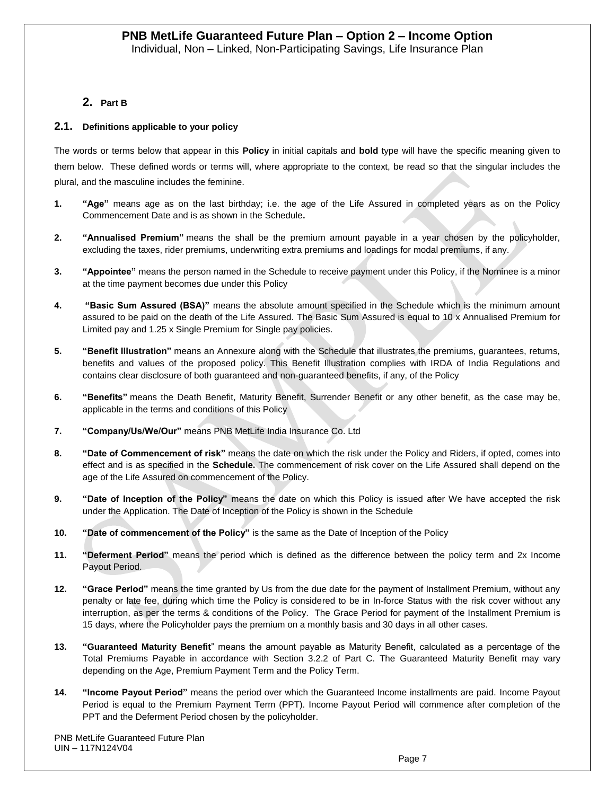# **2. Part B**

#### **2.1. Definitions applicable to your policy**

The words or terms below that appear in this **Policy** in initial capitals and **bold** type will have the specific meaning given to them below. These defined words or terms will, where appropriate to the context, be read so that the singular includes the plural, and the masculine includes the feminine.

- **1. "Age"** means age as on the last birthday; i.e. the age of the Life Assured in completed years as on the Policy Commencement Date and is as shown in the Schedule**.**
- **2. "Annualised Premium"** means the shall be the premium amount payable in a year chosen by the policyholder, excluding the taxes, rider premiums, underwriting extra premiums and loadings for modal premiums, if any.
- **3. "Appointee"** means the person named in the Schedule to receive payment under this Policy, if the Nominee is a minor at the time payment becomes due under this Policy
- **4. "Basic Sum Assured (BSA)"** means the absolute amount specified in the Schedule which is the minimum amount assured to be paid on the death of the Life Assured. The Basic Sum Assured is equal to 10 x Annualised Premium for Limited pay and 1.25 x Single Premium for Single pay policies.
- **5. "Benefit Illustration"** means an Annexure along with the Schedule that illustrates the premiums, guarantees, returns, benefits and values of the proposed policy. This Benefit Illustration complies with IRDA of India Regulations and contains clear disclosure of both guaranteed and non-guaranteed benefits, if any, of the Policy
- **6. "Benefits"** means the Death Benefit, Maturity Benefit, Surrender Benefit or any other benefit, as the case may be, applicable in the terms and conditions of this Policy
- **7. "Company/Us/We/Our"** means PNB MetLife India Insurance Co. Ltd
- **8. "Date of Commencement of risk"** means the date on which the risk under the Policy and Riders, if opted, comes into effect and is as specified in the **Schedule.** The commencement of risk cover on the Life Assured shall depend on the age of the Life Assured on commencement of the Policy.
- **9. "Date of Inception of the Policy"** means the date on which this Policy is issued after We have accepted the risk under the Application. The Date of Inception of the Policy is shown in the Schedule
- **10. "Date of commencement of the Policy"** is the same as the Date of Inception of the Policy
- **11. "Deferment Period"** means the period which is defined as the difference between the policy term and 2x Income Payout Period.
- **12. "Grace Period"** means the time granted by Us from the due date for the payment of Installment Premium, without any penalty or late fee, during which time the Policy is considered to be in In-force Status with the risk cover without any interruption, as per the terms & conditions of the Policy. The Grace Period for payment of the Installment Premium is 15 days, where the Policyholder pays the premium on a monthly basis and 30 days in all other cases.
- **13. "Guaranteed Maturity Benefit**" means the amount payable as Maturity Benefit, calculated as a percentage of the Total Premiums Payable in accordance with Section 3.2.2 of Part C. The Guaranteed Maturity Benefit may vary depending on the Age, Premium Payment Term and the Policy Term.
- **14. "Income Payout Period"** means the period over which the Guaranteed Income installments are paid. Income Payout Period is equal to the Premium Payment Term (PPT). Income Payout Period will commence after completion of the PPT and the Deferment Period chosen by the policyholder.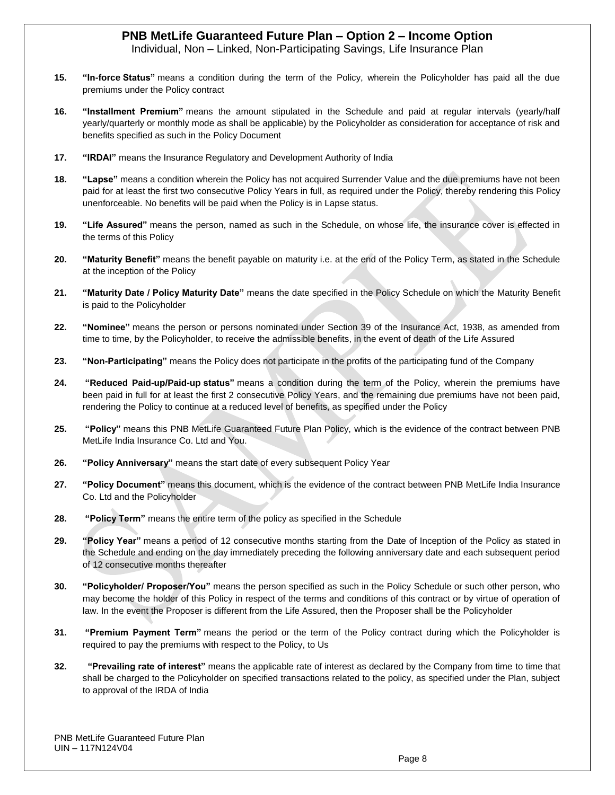Individual, Non – Linked, Non-Participating Savings, Life Insurance Plan

- **15. "In-force Status"** means a condition during the term of the Policy, wherein the Policyholder has paid all the due premiums under the Policy contract
- **16. "Installment Premium"** means the amount stipulated in the Schedule and paid at regular intervals (yearly/half yearly/quarterly or monthly mode as shall be applicable) by the Policyholder as consideration for acceptance of risk and benefits specified as such in the Policy Document
- **17. "IRDAI"** means the Insurance Regulatory and Development Authority of India
- **18. "Lapse"** means a condition wherein the Policy has not acquired Surrender Value and the due premiums have not been paid for at least the first two consecutive Policy Years in full, as required under the Policy, thereby rendering this Policy unenforceable. No benefits will be paid when the Policy is in Lapse status.
- **19. "Life Assured"** means the person, named as such in the Schedule, on whose life, the insurance cover is effected in the terms of this Policy
- **20. "Maturity Benefit"** means the benefit payable on maturity i.e. at the end of the Policy Term, as stated in the Schedule at the inception of the Policy
- **21. "Maturity Date / Policy Maturity Date"** means the date specified in the Policy Schedule on which the Maturity Benefit is paid to the Policyholder
- **22. "Nominee"** means the person or persons nominated under Section 39 of the Insurance Act, 1938, as amended from time to time, by the Policyholder, to receive the admissible benefits, in the event of death of the Life Assured
- **23. "Non-Participating"** means the Policy does not participate in the profits of the participating fund of the Company
- **24. "Reduced Paid-up/Paid-up status"** means a condition during the term of the Policy, wherein the premiums have been paid in full for at least the first 2 consecutive Policy Years, and the remaining due premiums have not been paid, rendering the Policy to continue at a reduced level of benefits, as specified under the Policy
- **25. "Policy"** means this PNB MetLife Guaranteed Future Plan Policy, which is the evidence of the contract between PNB MetLife India Insurance Co. Ltd and You.
- **26. "Policy Anniversary"** means the start date of every subsequent Policy Year
- **27. "Policy Document"** means this document, which is the evidence of the contract between PNB MetLife India Insurance Co. Ltd and the Policyholder
- **28. "Policy Term"** means the entire term of the policy as specified in the Schedule
- **29. "Policy Year"** means a period of 12 consecutive months starting from the Date of Inception of the Policy as stated in the Schedule and ending on the day immediately preceding the following anniversary date and each subsequent period of 12 consecutive months thereafter
- **30. "Policyholder/ Proposer/You"** means the person specified as such in the Policy Schedule or such other person, who may become the holder of this Policy in respect of the terms and conditions of this contract or by virtue of operation of law. In the event the Proposer is different from the Life Assured, then the Proposer shall be the Policyholder
- **31. "Premium Payment Term"** means the period or the term of the Policy contract during which the Policyholder is required to pay the premiums with respect to the Policy, to Us
- **32. "Prevailing rate of interest"** means the applicable rate of interest as declared by the Company from time to time that shall be charged to the Policyholder on specified transactions related to the policy, as specified under the Plan, subject to approval of the IRDA of India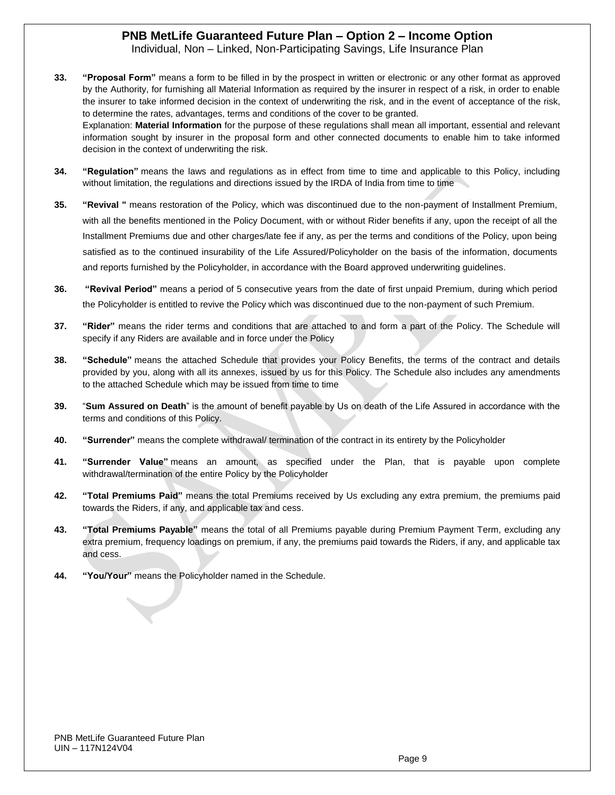Individual, Non – Linked, Non-Participating Savings, Life Insurance Plan

**33. "Proposal Form"** means a form to be filled in by the prospect in written or electronic or any other format as approved by the Authority, for furnishing all Material Information as required by the insurer in respect of a risk, in order to enable the insurer to take informed decision in the context of underwriting the risk, and in the event of acceptance of the risk, to determine the rates, advantages, terms and conditions of the cover to be granted. Explanation: **Material Information** for the purpose of these regulations shall mean all important, essential and relevant

information sought by insurer in the proposal form and other connected documents to enable him to take informed decision in the context of underwriting the risk.

- **34. "Regulation"** means the laws and regulations as in effect from time to time and applicable to this Policy, including without limitation, the regulations and directions issued by the IRDA of India from time to time
- **35. "Revival "** means restoration of the Policy, which was discontinued due to the non-payment of Installment Premium, with all the benefits mentioned in the Policy Document, with or without Rider benefits if any, upon the receipt of all the Installment Premiums due and other charges/late fee if any, as per the terms and conditions of the Policy, upon being satisfied as to the continued insurability of the Life Assured/Policyholder on the basis of the information, documents and reports furnished by the Policyholder, in accordance with the Board approved underwriting guidelines.
- **36. "Revival Period"** means a period of 5 consecutive years from the date of first unpaid Premium, during which period the Policyholder is entitled to revive the Policy which was discontinued due to the non-payment of such Premium.
- **37. "Rider"** means the rider terms and conditions that are attached to and form a part of the Policy. The Schedule will specify if any Riders are available and in force under the Policy
- **38. "Schedule"** means the attached Schedule that provides your Policy Benefits, the terms of the contract and details provided by you, along with all its annexes, issued by us for this Policy. The Schedule also includes any amendments to the attached Schedule which may be issued from time to time
- **39.** "**Sum Assured on Death**" is the amount of benefit payable by Us on death of the Life Assured in accordance with the terms and conditions of this Policy.
- **40. "Surrender"** means the complete withdrawal/ termination of the contract in its entirety by the Policyholder
- **41. "Surrender Value"** means an amount, as specified under the Plan, that is payable upon complete withdrawal/termination of the entire Policy by the Policyholder
- **42. "Total Premiums Paid"** means the total Premiums received by Us excluding any extra premium, the premiums paid towards the Riders, if any, and applicable tax and cess.
- **43. "Total Premiums Payable"** means the total of all Premiums payable during Premium Payment Term, excluding any extra premium, frequency loadings on premium, if any, the premiums paid towards the Riders, if any, and applicable tax and cess.
- **44. "You/Your"** means the Policyholder named in the Schedule.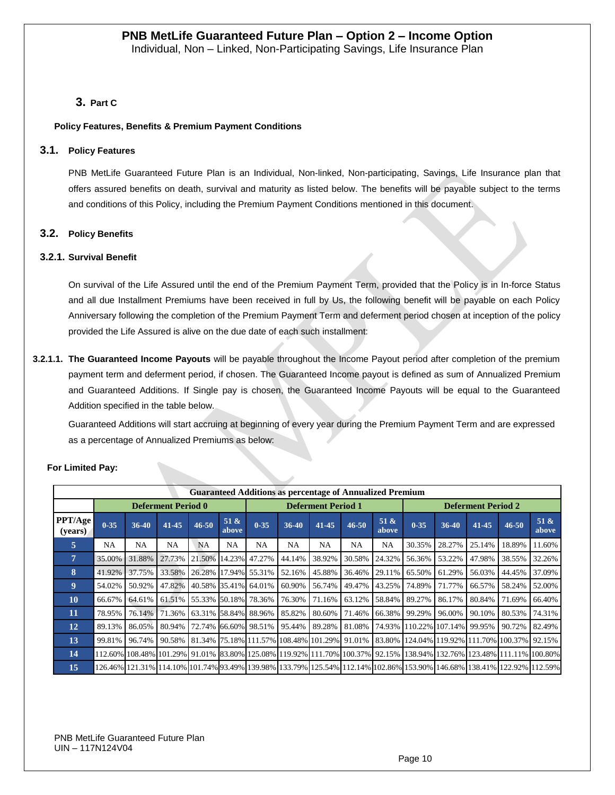# **3. Part C**

#### **Policy Features, Benefits & Premium Payment Conditions**

#### **3.1. Policy Features**

PNB MetLife Guaranteed Future Plan is an Individual, Non-linked, Non-participating, Savings, Life Insurance plan that offers assured benefits on death, survival and maturity as listed below. The benefits will be payable subject to the terms and conditions of this Policy, including the Premium Payment Conditions mentioned in this document.

#### **3.2. Policy Benefits**

#### **3.2.1. Survival Benefit**

On survival of the Life Assured until the end of the Premium Payment Term, provided that the Policy is in In-force Status and all due Installment Premiums have been received in full by Us, the following benefit will be payable on each Policy Anniversary following the completion of the Premium Payment Term and deferment period chosen at inception of the policy provided the Life Assured is alive on the due date of each such installment:

**3.2.1.1. The Guaranteed Income Payouts** will be payable throughout the Income Payout period after completion of the premium payment term and deferment period, if chosen. The Guaranteed Income payout is defined as sum of Annualized Premium and Guaranteed Additions. If Single pay is chosen, the Guaranteed Income Payouts will be equal to the Guaranteed Addition specified in the table below.

Guaranteed Additions will start accruing at beginning of every year during the Premium Payment Term and are expressed as a percentage of Annualized Premiums as below:

|                    | <b>Guaranteed Additions as percentage of Annualized Premium</b> |        |           |                       |               |                                              |        |           |           |                           |          |                                     |                                                                                                                           |           |                                                                                                                        |
|--------------------|-----------------------------------------------------------------|--------|-----------|-----------------------|---------------|----------------------------------------------|--------|-----------|-----------|---------------------------|----------|-------------------------------------|---------------------------------------------------------------------------------------------------------------------------|-----------|------------------------------------------------------------------------------------------------------------------------|
|                    | <b>Deferment Period 0</b>                                       |        |           |                       |               | <b>Deferment Period 1</b>                    |        |           |           | <b>Deferment Period 2</b> |          |                                     |                                                                                                                           |           |                                                                                                                        |
| PPT/Age<br>(vears) | $0 - 35$                                                        | 36-40  | 41-45     | $46 - 50$             | 51 &<br>above | $0 - 35$                                     | 36-40  | $41 - 45$ | $46 - 50$ | 51 &<br>above             | $0 - 35$ | $36-40$                             | $41 - 45$                                                                                                                 | $46 - 50$ | 51 &<br>above                                                                                                          |
| 5                  | <b>NA</b>                                                       | NA     | <b>NA</b> | <b>NA</b>             | <b>NA</b>     | NA.                                          | NA     | <b>NA</b> | NA        | <b>NA</b>                 | 30.35%   | 28.27%                              | 25.14%                                                                                                                    | 18.89%    | 11.60%                                                                                                                 |
| $\overline{7}$     | 35.00%                                                          | 31.88% | 27.73%    | 21.50% 14.23%         |               | 47.27%                                       | 44.14% | 38.92%    | 30.58%    | 24.32%                    | 56.36%   | 53.22%                              | 47.98%                                                                                                                    | 38.55%    | 32.26%                                                                                                                 |
| 8                  | 41.92%                                                          | 37.75% | 33.58%    | 26.28% 17.94%         |               | 55.31%                                       | 52.16% | 45.88%    | 36.46%    | 29.11%                    | 65.50%   | 61.29%                              | 56.03%                                                                                                                    | 44.45%    | 37.09%                                                                                                                 |
| 9                  | 54.02%                                                          | 50.92% | 47.82%    | 40.58% 35.41%         |               | 64.01%                                       | 60.90% | 56.74%    | 49.47%    | 43.25%                    | 74.89%   | 71.77%                              | 66.57%                                                                                                                    | 58.24%    | 52.00%                                                                                                                 |
| <b>10</b>          | 66.67%                                                          | 64.61% | 61.51%    | 155.33% 50.18% 78.36% |               |                                              | 76.30% | 71.16%    | 63.12%    | 58.84%                    | 89.27%   | 86.17%                              | 80.84%                                                                                                                    | 71.69%    | 66.40%                                                                                                                 |
| 11                 | 78.95%                                                          | 76.14% | 71.36%    | 63.31% 58.84% 88.96%  |               |                                              | 85.82% | 80.60%    | 71.46%    | 66.38%                    | 99.29%   | 96.00%                              | 90.10%                                                                                                                    | 80.53%    | 74.31%                                                                                                                 |
| 12                 | 89.13%                                                          | 86.05% | 80.94%    | 72.74% 66.60% 98.51%  |               |                                              | 95.44% | 89.28%    | 81.08%    |                           |          | 74.93%   110.22%   107.14%   99.95% |                                                                                                                           | 90.72%    | 82.49%                                                                                                                 |
| 13                 | 99.81%                                                          | 96.74% | 90.58%    |                       |               | 81.34% 75.18% 111.57% 108.48% 101.29% 91.01% |        |           |           |                           |          |                                     | 83.80% 124.04% 119.92% 111.70% 100.37% 92.15%                                                                             |           |                                                                                                                        |
| 14                 |                                                                 |        |           |                       |               |                                              |        |           |           |                           |          |                                     | 112.60% 108.48% 101.29% 191.01% 183.80% 125.08% 119.92% 111.70% 100.37% 192.15% 138.94% 132.76% 123.48% 111.11% 100.80% 1 |           |                                                                                                                        |
| 15                 |                                                                 |        |           |                       |               |                                              |        |           |           |                           |          |                                     |                                                                                                                           |           | 126.46% 121.31% 114.10% 101.74% 93.49% 139.98% 133.79% 125.54% 112.14% 102.86% 153.90% 146.68% 138.41% 122.92% 112.59% |

### **For Limited Pay:**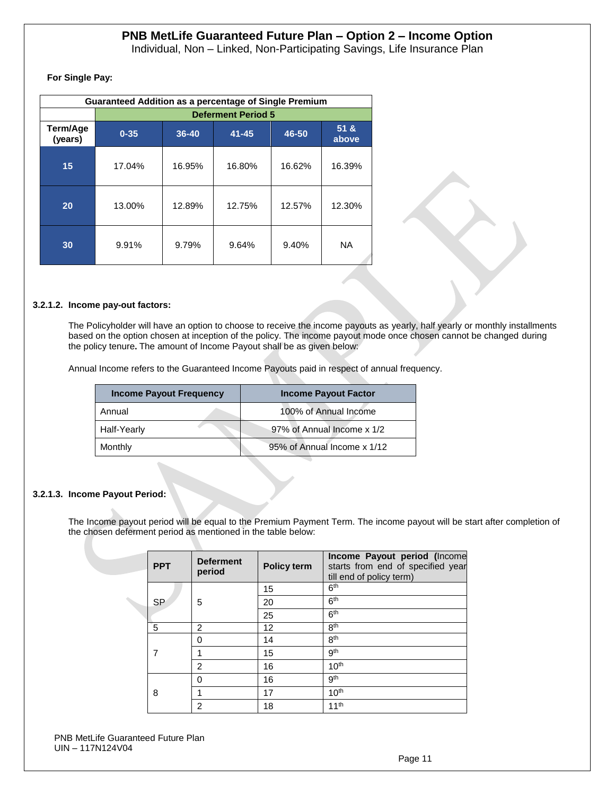Individual, Non – Linked, Non-Participating Savings, Life Insurance Plan

**For Single Pay:**

|                     | <b>Guaranteed Addition as a percentage of Single Premium</b> |        |           |        |                 |  |  |  |  |  |
|---------------------|--------------------------------------------------------------|--------|-----------|--------|-----------------|--|--|--|--|--|
|                     | <b>Deferment Period 5</b>                                    |        |           |        |                 |  |  |  |  |  |
| Term/Age<br>(years) | $0 - 35$                                                     | 36-40  | $41 - 45$ | 46-50  | 51 & 8<br>above |  |  |  |  |  |
| 15                  | 17.04%                                                       | 16.95% | 16.80%    | 16.62% | 16.39%          |  |  |  |  |  |
| 20                  | 13.00%                                                       | 12.89% | 12.75%    | 12.57% | 12.30%          |  |  |  |  |  |
| 30                  | 9.91%                                                        | 9.79%  | 9.64%     | 9.40%  | <b>NA</b>       |  |  |  |  |  |

#### **3.2.1.2. Income pay-out factors:**

The Policyholder will have an option to choose to receive the income payouts as yearly, half yearly or monthly installments based on the option chosen at inception of the policy. The income payout mode once chosen cannot be changed during the policy tenure**.** The amount of Income Payout shall be as given below:

Annual Income refers to the Guaranteed Income Payouts paid in respect of annual frequency.

| <b>Income Payout Frequency</b> | <b>Income Payout Factor</b> |
|--------------------------------|-----------------------------|
| Annual                         | 100% of Annual Income       |
| Half-Yearly                    | 97% of Annual Income x 1/2  |
| Monthly                        | 95% of Annual Income x 1/12 |

#### **3.2.1.3. Income Payout Period:**

The Income payout period will be equal to the Premium Payment Term. The income payout will be start after completion of the chosen deferment period as mentioned in the table below:

|   | <b>PPT</b> | <b>Deferment</b><br>period | <b>Policy term</b> | Income Payout period (Income<br>starts from end of specified year<br>till end of policy term) |
|---|------------|----------------------------|--------------------|-----------------------------------------------------------------------------------------------|
|   |            |                            | 15                 | 6 <sup>th</sup>                                                                               |
|   | <b>SP</b>  | 5                          | 20                 | 6 <sup>th</sup>                                                                               |
|   |            |                            | 25                 | 6 <sup>th</sup>                                                                               |
|   | 5          | 2                          | 12                 | 8 <sup>th</sup>                                                                               |
|   |            | ŋ                          | 14                 | 8 <sup>th</sup>                                                                               |
|   |            |                            | 15                 | gth                                                                                           |
|   |            | 2                          | 16                 | 10 <sup>th</sup>                                                                              |
|   |            | ŋ                          | 16                 | gth                                                                                           |
| 8 |            | 17                         | 10 <sup>th</sup>   |                                                                                               |
|   |            | 2                          | 18                 | 11 <sup>th</sup>                                                                              |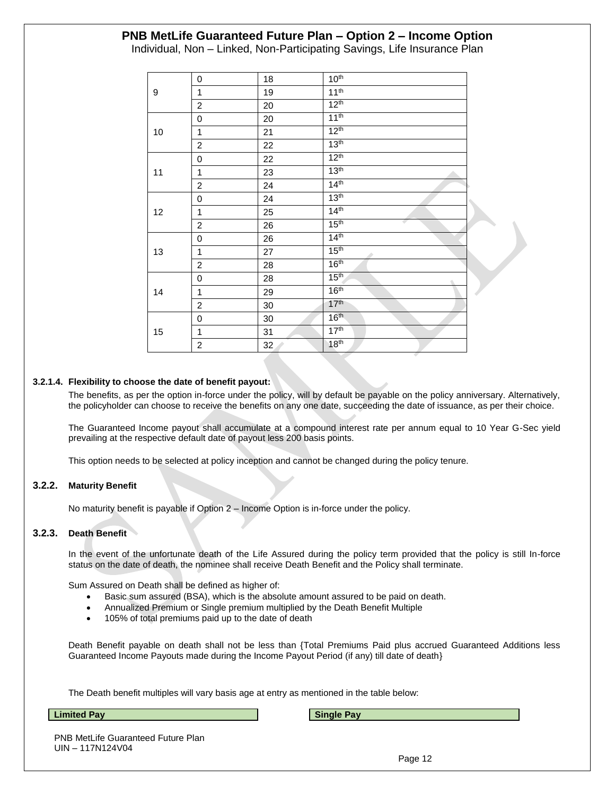Individual, Non – Linked, Non-Participating Savings, Life Insurance Plan

|    | 0                       | 18 | 10 <sup>th</sup> |
|----|-------------------------|----|------------------|
| 9  | 1                       | 19 | 11 <sup>th</sup> |
|    | $\overline{c}$          | 20 | 12 <sup>th</sup> |
|    | 0                       | 20 | 11 <sup>th</sup> |
| 10 | 1                       | 21 | 12 <sup>th</sup> |
|    | $\overline{c}$          | 22 | 13 <sup>th</sup> |
|    | 0                       | 22 | 12 <sup>th</sup> |
| 11 | 1                       | 23 | 13 <sup>th</sup> |
|    | $\overline{c}$          | 24 | 14 <sup>th</sup> |
|    | 0                       | 24 | 13 <sup>th</sup> |
| 12 | 1                       | 25 | 14 <sup>th</sup> |
|    | $\overline{c}$          | 26 | 15 <sup>th</sup> |
|    | 0                       | 26 | 14 <sup>th</sup> |
| 13 | 1                       | 27 | 15 <sup>th</sup> |
|    | $\overline{c}$          | 28 | 16 <sup>th</sup> |
|    | 0                       | 28 | 15 <sup>th</sup> |
| 14 | $\mathbf{1}$            | 29 | 16 <sup>th</sup> |
|    | $\overline{c}$          | 30 | 17 <sup>th</sup> |
|    | 0                       | 30 | 16 <sup>th</sup> |
| 15 | 1                       | 31 | 17 <sup>th</sup> |
|    | $\overline{\mathbf{c}}$ | 32 | 18 <sup>th</sup> |

#### **3.2.1.4. Flexibility to choose the date of benefit payout:**

The benefits, as per the option in-force under the policy, will by default be payable on the policy anniversary. Alternatively, the policyholder can choose to receive the benefits on any one date, succeeding the date of issuance, as per their choice.

The Guaranteed Income payout shall accumulate at a compound interest rate per annum equal to 10 Year G-Sec yield prevailing at the respective default date of payout less 200 basis points.

This option needs to be selected at policy inception and cannot be changed during the policy tenure.

#### **3.2.2. Maturity Benefit**

No maturity benefit is payable if Option 2 – Income Option is in-force under the policy.

#### **3.2.3. Death Benefit**

In the event of the unfortunate death of the Life Assured during the policy term provided that the policy is still In-force status on the date of death, the nominee shall receive Death Benefit and the Policy shall terminate.

Sum Assured on Death shall be defined as higher of:

- Basic sum assured (BSA), which is the absolute amount assured to be paid on death.
- Annualized Premium or Single premium multiplied by the Death Benefit Multiple
- 105% of total premiums paid up to the date of death

Death Benefit payable on death shall not be less than {Total Premiums Paid plus accrued Guaranteed Additions less Guaranteed Income Payouts made during the Income Payout Period (if any) till date of death}

The Death benefit multiples will vary basis age at entry as mentioned in the table below:

**Limited Pay Single Pay** 

PNB MetLife Guaranteed Future Plan UIN – 117N124V04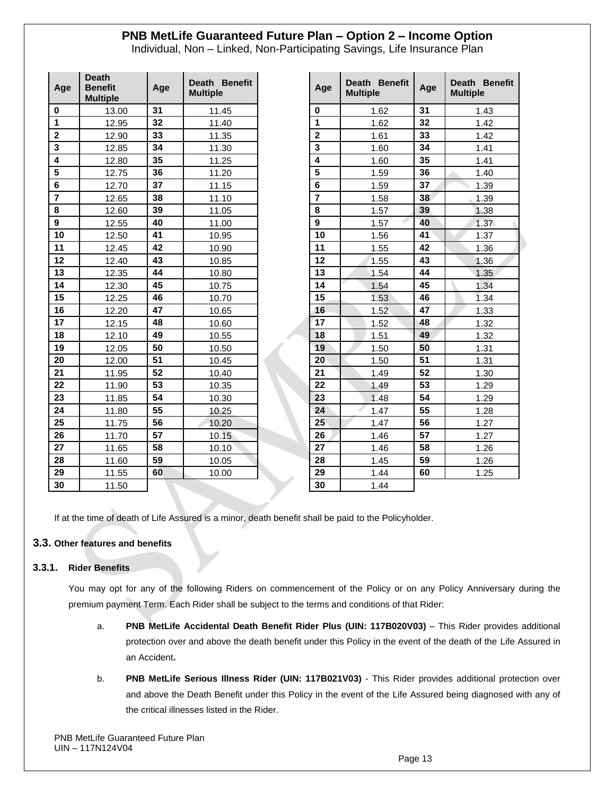Individual, Non – Linked, Non-Participating Savings, Life Insurance Plan

| Age                     | <b>Death</b><br><b>Benefit</b><br><b>Multiple</b> | Age | Death Benefit<br><b>Multiple</b> | Age                     | Death Benefit<br><b>Multiple</b> | Age | Death Ber<br><b>Multiple</b> |
|-------------------------|---------------------------------------------------|-----|----------------------------------|-------------------------|----------------------------------|-----|------------------------------|
| $\bf{0}$                | 13.00                                             | 31  | 11.45                            | $\mathbf 0$             | 1.62                             | 31  | 1.43                         |
| 1                       | 12.95                                             | 32  | 11.40                            | $\mathbf{1}$            | 1.62                             | 32  | 1.42                         |
| $\mathbf{2}$            | 12.90                                             | 33  | 11.35                            | $\overline{\mathbf{2}}$ | 1.61                             | 33  | 1.42                         |
| 3                       | 12.85                                             | 34  | 11.30                            | 3                       | 1.60                             | 34  | 1.41                         |
| $\overline{\mathbf{4}}$ | 12.80                                             | 35  | 11.25                            | $\overline{4}$          | 1.60                             | 35  | 1.41                         |
| $\overline{\mathbf{5}}$ | 12.75                                             | 36  | 11.20                            | $\overline{\mathbf{5}}$ | 1.59                             | 36  | 1.40                         |
| $6\phantom{1}6$         | 12.70                                             | 37  | 11.15                            | $6\phantom{a}$          | 1.59                             | 37  | 1.39                         |
| $\overline{7}$          | 12.65                                             | 38  | 11.10                            | $\overline{7}$          | 1.58                             | 38  | 1.39                         |
| 8                       | 12.60                                             | 39  | 11.05                            | 8                       | 1.57                             | 39  | 1.38                         |
| $\boldsymbol{9}$        | 12.55                                             | 40  | 11.00                            | $\mathbf{9}$            | 1.57                             | 40  | 1.37                         |
| 10                      | 12.50                                             | 41  | 10.95                            | 10                      | 1.56                             | 41  | 1.37                         |
| 11                      | 12.45                                             | 42  | 10.90                            | 11                      | 1.55                             | 42  | 1.36                         |
| 12                      | 12.40                                             | 43  | 10.85                            | 12                      | 1.55                             | 43  | 1.36                         |
| 13                      | 12.35                                             | 44  | 10.80                            | 13                      | 1.54                             | 44  | 1.35                         |
| 14                      | 12.30                                             | 45  | 10.75                            | 14                      | 1.54                             | 45  | 1.34                         |
| 15                      | 12.25                                             | 46  | 10.70                            | 15                      | 1.53                             | 46  | 1.34                         |
| 16                      | 12.20                                             | 47  | 10.65                            | 16                      | 1.52                             | 47  | 1.33                         |
| 17                      | 12.15                                             | 48  | 10.60                            | 17                      | 1.52                             | 48  | 1.32                         |
| 18                      | 12.10                                             | 49  | 10.55                            | 18                      | 1.51                             | 49  | 1.32                         |
| 19                      | 12.05                                             | 50  | 10.50                            | 19                      | 1.50                             | 50  | 1.31                         |
| 20                      | 12.00                                             | 51  | 10.45                            | 20                      | 1.50                             | 51  | 1.31                         |
| 21                      | 11.95                                             | 52  | 10.40                            | 21                      | 1.49                             | 52  | 1.30                         |
| 22                      | 11.90                                             | 53  | 10.35                            | 22                      | 1.49                             | 53  | 1.29                         |
| 23                      | 11.85                                             | 54  | 10.30                            | 23                      | 1.48                             | 54  | 1.29                         |
| 24                      | 11.80                                             | 55  | 10.25                            | 24                      | 1.47                             | 55  | 1.28                         |
| 25                      | 11.75                                             | 56  | 10.20                            | 25                      | 1.47                             | 56  | 1.27                         |
| 26                      | 11.70                                             | 57  | 10.15                            | 26                      | 1.46                             | 57  | 1.27                         |
| 27                      | 11.65                                             | 58  | 10.10                            | 27                      | 1.46                             | 58  | 1.26                         |
| 28                      | 11.60                                             | 59  | 10.05                            | 28                      | 1.45                             | 59  | 1.26                         |
| 29                      | 11.55                                             | 60  | 10.00                            | 29                      | 1.44                             | 60  | 1.25                         |
| 30                      | 11.50                                             |     |                                  | 30                      | 1.44                             |     |                              |

| Death Benefit<br><b>Multiple</b> | Age            | Death Benefit<br><b>Multiple</b> | Age | Death Benefit<br><b>Multiple</b> |
|----------------------------------|----------------|----------------------------------|-----|----------------------------------|
| 11.45                            | $\mathbf 0$    | 1.62                             | 31  | 1.43                             |
| 11.40                            | 1              | 1.62                             | 32  | 1.42                             |
| 11.35                            | $\overline{2}$ | 1.61                             | 33  | 1.42                             |
| 11.30                            | 3              | 1.60                             | 34  | 1.41                             |
| 11.25                            | $\overline{4}$ | 1.60                             | 35  | 1.41                             |
| 11.20                            | 5              | 1.59                             | 36  | 1.40                             |
| 11.15                            | 6              | 1.59                             | 37  | 1.39                             |
| 11.10                            | $\overline{7}$ | 1.58                             | 38  | 1.39                             |
| 11.05                            | 8              | 1.57                             | 39  | 1.38                             |
| 11.00                            | 9              | 1.57                             | 40  | 1.37                             |
| 10.95                            | 10             | 1.56                             | 41  | 1.37                             |
| 10.90                            | 11             | 1.55                             | 42  | 1.36                             |
| 10.85                            | 12             | 1.55                             | 43  | 1.36                             |
| 10.80                            | 13             | 1.54                             | 44  | 1.35                             |
| 10.75                            | 14             | 1.54                             | 45  | 1.34                             |
| 10.70                            | 15             | 1.53                             | 46  | 1.34                             |
| 10.65                            | 16             | 1.52                             | 47  | 1.33                             |
| 10.60                            | 17             | 1.52                             | 48  | 1.32                             |
| 10.55                            | 18             | 1.51                             | 49  | 1.32                             |
| 10.50                            | 19             | 1.50                             | 50  | 1.31                             |
| 10.45                            | 20             | 1.50                             | 51  | 1.31                             |
| 10.40                            | 21             | 1.49                             | 52  | 1.30                             |
| 10.35                            | 22             | 1.49                             | 53  | 1.29                             |
| 10.30                            | 23             | 1.48                             | 54  | 1.29                             |
| 10.25                            | 24             | 1.47                             | 55  | 1.28                             |
| 10.20                            | 25             | 1.47                             | 56  | 1.27                             |
| 10.15                            | 26             | 1.46                             | 57  | 1.27                             |
| 10.10                            | 27             | 1.46                             | 58  | 1.26                             |
| 10.05                            | 28             | 1.45                             | 59  | 1.26                             |
| 10.00                            | 29             | 1.44                             | 60  | 1.25                             |
|                                  | 30             | 1.44                             |     |                                  |

If at the time of death of Life Assured is a minor, death benefit shall be paid to the Policyholder.

### **3.3. Other features and benefits**

### **3.3.1. Rider Benefits**

You may opt for any of the following Riders on commencement of the Policy or on any Policy Anniversary during the premium payment Term. Each Rider shall be subject to the terms and conditions of that Rider:

- a. **PNB MetLife Accidental Death Benefit Rider Plus (UIN: 117B020V03)** This Rider provides additional protection over and above the death benefit under this Policy in the event of the death of the Life Assured in an Accident**.**
- b. **PNB MetLife Serious Illness Rider (UIN: 117B021V03)** This Rider provides additional protection over and above the Death Benefit under this Policy in the event of the Life Assured being diagnosed with any of the critical illnesses listed in the Rider.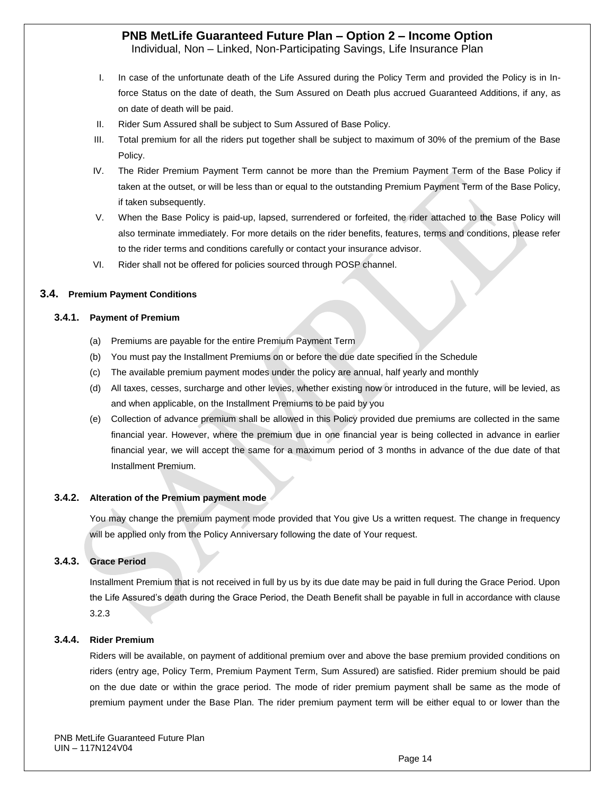Individual, Non – Linked, Non-Participating Savings, Life Insurance Plan

- I. In case of the unfortunate death of the Life Assured during the Policy Term and provided the Policy is in Inforce Status on the date of death, the Sum Assured on Death plus accrued Guaranteed Additions, if any, as on date of death will be paid.
- II. Rider Sum Assured shall be subject to Sum Assured of Base Policy.
- III. Total premium for all the riders put together shall be subject to maximum of 30% of the premium of the Base Policy.
- IV. The Rider Premium Payment Term cannot be more than the Premium Payment Term of the Base Policy if taken at the outset, or will be less than or equal to the outstanding Premium Payment Term of the Base Policy, if taken subsequently.
- V. When the Base Policy is paid-up, lapsed, surrendered or forfeited, the rider attached to the Base Policy will also terminate immediately. For more details on the rider benefits, features, terms and conditions, please refer to the rider terms and conditions carefully or contact your insurance advisor.
- VI. Rider shall not be offered for policies sourced through POSP channel.

#### **3.4. Premium Payment Conditions**

#### **3.4.1. Payment of Premium**

- (a) Premiums are payable for the entire Premium Payment Term
- (b) You must pay the Installment Premiums on or before the due date specified in the Schedule
- (c) The available premium payment modes under the policy are annual, half yearly and monthly
- (d) All taxes, cesses, surcharge and other levies, whether existing now or introduced in the future, will be levied, as and when applicable, on the Installment Premiums to be paid by you
- (e) Collection of advance premium shall be allowed in this Policy provided due premiums are collected in the same financial year. However, where the premium due in one financial year is being collected in advance in earlier financial year, we will accept the same for a maximum period of 3 months in advance of the due date of that Installment Premium.

#### **3.4.2. Alteration of the Premium payment mode**

You may change the premium payment mode provided that You give Us a written request. The change in frequency will be applied only from the Policy Anniversary following the date of Your request.

#### **3.4.3. Grace Period**

Installment Premium that is not received in full by us by its due date may be paid in full during the Grace Period. Upon the Life Assured's death during the Grace Period, the Death Benefit shall be payable in full in accordance with clause 3.2.3

#### **3.4.4. Rider Premium**

Riders will be available, on payment of additional premium over and above the base premium provided conditions on riders (entry age, Policy Term, Premium Payment Term, Sum Assured) are satisfied. Rider premium should be paid on the due date or within the grace period. The mode of rider premium payment shall be same as the mode of premium payment under the Base Plan. The rider premium payment term will be either equal to or lower than the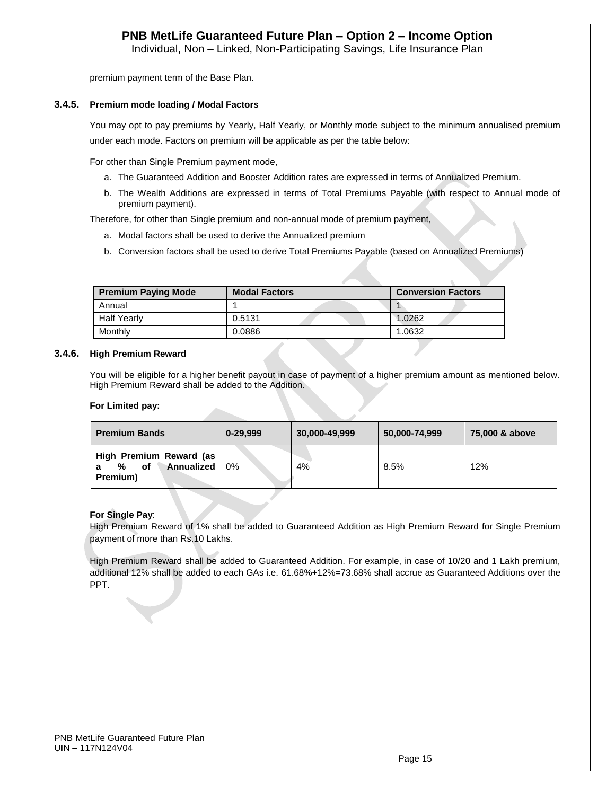Individual, Non – Linked, Non-Participating Savings, Life Insurance Plan

premium payment term of the Base Plan.

#### **3.4.5. Premium mode loading / Modal Factors**

You may opt to pay premiums by Yearly, Half Yearly, or Monthly mode subject to the minimum annualised premium under each mode. Factors on premium will be applicable as per the table below:

For other than Single Premium payment mode,

- a. The Guaranteed Addition and Booster Addition rates are expressed in terms of Annualized Premium.
- b. The Wealth Additions are expressed in terms of Total Premiums Payable (with respect to Annual mode of premium payment).

Therefore, for other than Single premium and non-annual mode of premium payment,

- a. Modal factors shall be used to derive the Annualized premium
- b. Conversion factors shall be used to derive Total Premiums Payable (based on Annualized Premiums)

| <b>Premium Paying Mode</b> | <b>Modal Factors</b> | <b>Conversion Factors</b> |
|----------------------------|----------------------|---------------------------|
| Annual                     |                      |                           |
| <b>Half Yearly</b>         | 0.5131               | 1.0262                    |
| Monthly                    | 0.0886               | 1.0632                    |

#### **3.4.6. High Premium Reward**

You will be eligible for a higher benefit payout in case of payment of a higher premium amount as mentioned below. High Premium Reward shall be added to the Addition.

#### **For Limited pay:**

| <b>Premium Bands</b>                                         | $0 - 29.999$ | 75,000 & above |      |     |
|--------------------------------------------------------------|--------------|----------------|------|-----|
| High Premium Reward (as<br>Annualized<br>οf<br>%<br>Premium) | 0%           | 4%             | 8.5% | 12% |

#### **For Single Pay**:

High Premium Reward of 1% shall be added to Guaranteed Addition as High Premium Reward for Single Premium payment of more than Rs.10 Lakhs.

High Premium Reward shall be added to Guaranteed Addition. For example, in case of 10/20 and 1 Lakh premium, additional 12% shall be added to each GAs i.e. 61.68%+12%=73.68% shall accrue as Guaranteed Additions over the PPT.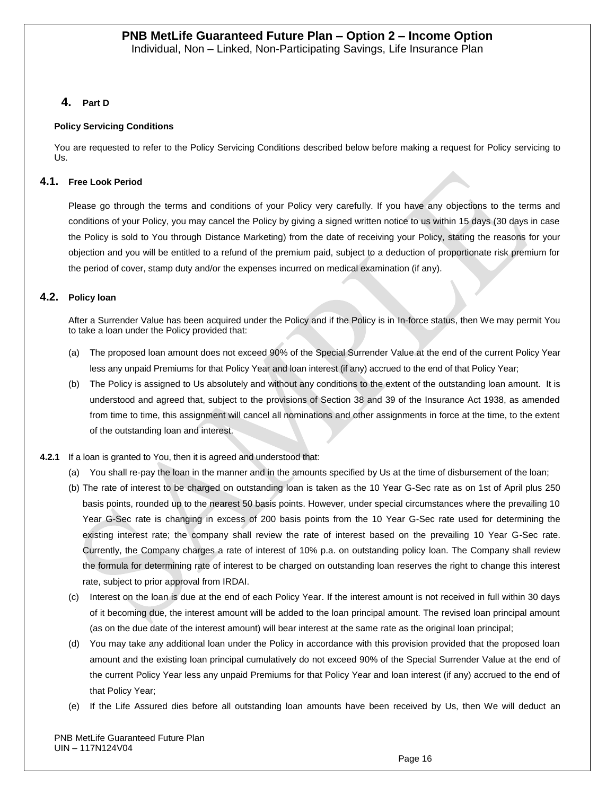### **4. Part D**

#### **Policy Servicing Conditions**

You are requested to refer to the Policy Servicing Conditions described below before making a request for Policy servicing to Us.

### **4.1. Free Look Period**

Please go through the terms and conditions of your Policy very carefully. If you have any objections to the terms and conditions of your Policy, you may cancel the Policy by giving a signed written notice to us within 15 days (30 days in case the Policy is sold to You through Distance Marketing) from the date of receiving your Policy, stating the reasons for your objection and you will be entitled to a refund of the premium paid, subject to a deduction of proportionate risk premium for the period of cover, stamp duty and/or the expenses incurred on medical examination (if any).

### **4.2. Policy loan**

After a Surrender Value has been acquired under the Policy and if the Policy is in In-force status, then We may permit You to take a loan under the Policy provided that:

- (a) The proposed loan amount does not exceed 90% of the Special Surrender Value at the end of the current Policy Year less any unpaid Premiums for that Policy Year and loan interest (if any) accrued to the end of that Policy Year;
- (b) The Policy is assigned to Us absolutely and without any conditions to the extent of the outstanding loan amount. It is understood and agreed that, subject to the provisions of Section 38 and 39 of the Insurance Act 1938, as amended from time to time, this assignment will cancel all nominations and other assignments in force at the time, to the extent of the outstanding loan and interest.
- **4.2.1** If a loan is granted to You, then it is agreed and understood that:
	- (a) You shall re-pay the loan in the manner and in the amounts specified by Us at the time of disbursement of the loan;
	- (b) The rate of interest to be charged on outstanding loan is taken as the 10 Year G-Sec rate as on 1st of April plus 250 basis points, rounded up to the nearest 50 basis points. However, under special circumstances where the prevailing 10 Year G-Sec rate is changing in excess of 200 basis points from the 10 Year G-Sec rate used for determining the existing interest rate; the company shall review the rate of interest based on the prevailing 10 Year G-Sec rate. Currently, the Company charges a rate of interest of 10% p.a. on outstanding policy loan. The Company shall review the formula for determining rate of interest to be charged on outstanding loan reserves the right to change this interest rate, subject to prior approval from IRDAI.
	- (c) Interest on the loan is due at the end of each Policy Year. If the interest amount is not received in full within 30 days of it becoming due, the interest amount will be added to the loan principal amount. The revised loan principal amount (as on the due date of the interest amount) will bear interest at the same rate as the original loan principal;
	- (d) You may take any additional loan under the Policy in accordance with this provision provided that the proposed loan amount and the existing loan principal cumulatively do not exceed 90% of the Special Surrender Value at the end of the current Policy Year less any unpaid Premiums for that Policy Year and loan interest (if any) accrued to the end of that Policy Year;
	- (e) If the Life Assured dies before all outstanding loan amounts have been received by Us, then We will deduct an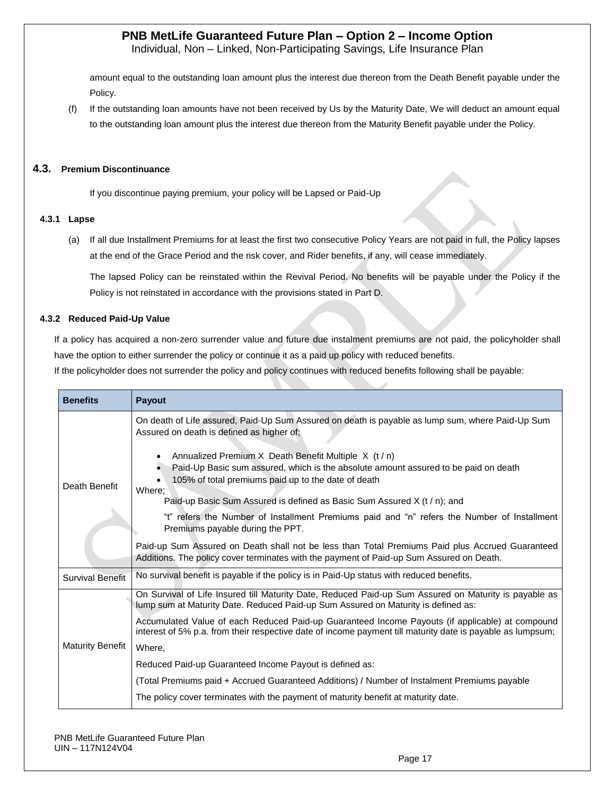Individual, Non – Linked, Non-Participating Savings, Life Insurance Plan

amount equal to the outstanding loan amount plus the interest due thereon from the Death Benefit payable under the Policy.

(f) If the outstanding loan amounts have not been received by Us by the Maturity Date, We will deduct an amount equal to the outstanding loan amount plus the interest due thereon from the Maturity Benefit payable under the Policy.

#### **4.3. Premium Discontinuance**

If you discontinue paying premium, your policy will be Lapsed or Paid-Up

#### **4.3.1 Lapse**

(a) If all due Installment Premiums for at least the first two consecutive Policy Years are not paid in full, the Policy lapses at the end of the Grace Period and the risk cover, and Rider benefits, if any, will cease immediately.

The lapsed Policy can be reinstated within the Revival Period. No benefits will be payable under the Policy if the Policy is not reinstated in accordance with the provisions stated in Part D.

#### **4.3.2 Reduced Paid-Up Value**

If a policy has acquired a non-zero surrender value and future due instalment premiums are not paid, the policyholder shall have the option to either surrender the policy or continue it as a paid up policy with reduced benefits.

If the policyholder does not surrender the policy and policy continues with reduced benefits following shall be payable:

| <b>Benefits</b>         | Payout                                                                                                                                                                                                        |  |  |  |  |  |  |  |
|-------------------------|---------------------------------------------------------------------------------------------------------------------------------------------------------------------------------------------------------------|--|--|--|--|--|--|--|
|                         | On death of Life assured, Paid-Up Sum Assured on death is payable as lump sum, where Paid-Up Sum<br>Assured on death is defined as higher of;                                                                 |  |  |  |  |  |  |  |
| Death Benefit           | Annualized Premium X Death Benefit Multiple X (t / n)<br>Paid-Up Basic sum assured, which is the absolute amount assured to be paid on death<br>105% of total premiums paid up to the date of death<br>Where; |  |  |  |  |  |  |  |
|                         | Paid-up Basic Sum Assured is defined as Basic Sum Assured X $(t/n)$ ; and                                                                                                                                     |  |  |  |  |  |  |  |
|                         | "t" refers the Number of Installment Premiums paid and "n" refers the Number of Installment<br>Premiums payable during the PPT.                                                                               |  |  |  |  |  |  |  |
|                         | Paid-up Sum Assured on Death shall not be less than Total Premiums Paid plus Accrued Guaranteed<br>Additions. The policy cover terminates with the payment of Paid-up Sum Assured on Death.                   |  |  |  |  |  |  |  |
| <b>Survival Benefit</b> | No survival benefit is payable if the policy is in Paid-Up status with reduced benefits.                                                                                                                      |  |  |  |  |  |  |  |
|                         | On Survival of Life Insured till Maturity Date, Reduced Paid-up Sum Assured on Maturity is payable as<br>lump sum at Maturity Date. Reduced Paid-up Sum Assured on Maturity is defined as:                    |  |  |  |  |  |  |  |
| <b>Maturity Benefit</b> | Accumulated Value of each Reduced Paid-up Guaranteed Income Payouts (if applicable) at compound<br>interest of 5% p.a. from their respective date of income payment till maturity date is payable as lumpsum; |  |  |  |  |  |  |  |
|                         | Where,                                                                                                                                                                                                        |  |  |  |  |  |  |  |
|                         | Reduced Paid-up Guaranteed Income Payout is defined as:                                                                                                                                                       |  |  |  |  |  |  |  |
|                         | (Total Premiums paid + Accrued Guaranteed Additions) / Number of Instalment Premiums payable                                                                                                                  |  |  |  |  |  |  |  |
|                         | The policy cover terminates with the payment of maturity benefit at maturity date.                                                                                                                            |  |  |  |  |  |  |  |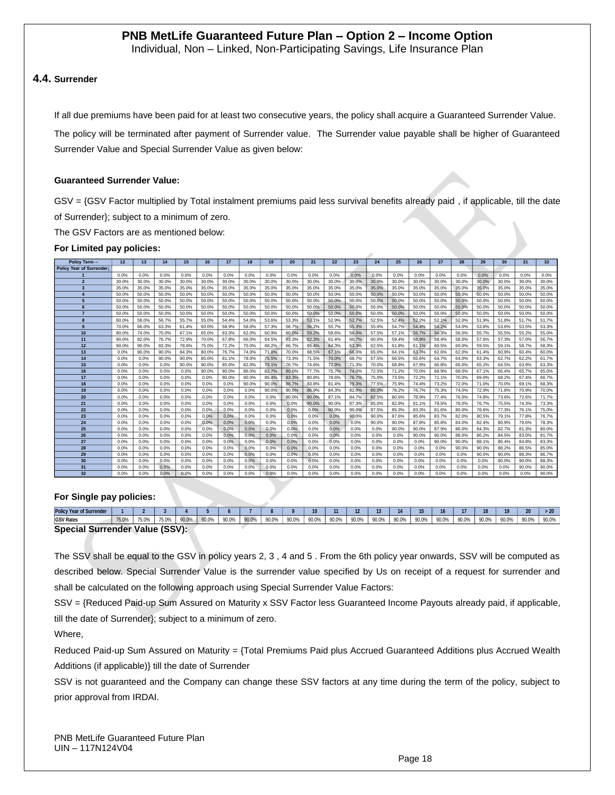Individual, Non – Linked, Non-Participating Savings, Life Insurance Plan

#### **4.4. Surrender**

If all due premiums have been paid for at least two consecutive years, the policy shall acquire a Guaranteed Surrender Value.

The policy will be terminated after payment of Surrender value. The Surrender value payable shall be higher of Guaranteed Surrender Value and Special Surrender Value as given below:

#### **Guaranteed Surrender Value:**

GSV = {GSV Factor multiplied by Total instalment premiums paid less survival benefits already paid , if applicable, till the date of Surrender}; subject to a minimum of zero.

The GSV Factors are as mentioned below:

#### **For Limited pay policies:**

| Policy Term-             | 12    | 13    | 14    | 15    | 16    | 17    | 18    | 19    | 20    | 21    | 22    | 23    | 24    | 25    | 26    | 27    | 28    | 29    | 30    | 31    | 32 <sub>2</sub> |
|--------------------------|-------|-------|-------|-------|-------|-------|-------|-------|-------|-------|-------|-------|-------|-------|-------|-------|-------|-------|-------|-------|-----------------|
| Policy Year of Surrender |       |       |       |       |       |       |       |       |       |       |       |       |       |       |       |       |       |       |       |       |                 |
|                          | 0.0%  | 0.0%  | 0.0%  | 0.0%  | 0.0%  | 0.0%  | 0.0%  | 0.0%  | 0.0%  | 0.0%  | 0.0%  | 0.0%  | 0.0%  | 0.0%  | 0.0%  | 0.0%  | 0.0%  | 0.0%  | 0.0%  | 0.0%  | 0.0%            |
| $\overline{2}$           | 30.0% | 30.0% | 30.0% | 30.0% | 30.0% | 30.0% | 30.0% | 30.0% | 30.0% | 30.0% | 30.0% | 30.0% | 30.0% | 30.0% | 30.0% | 30.0% | 30.0% | 30.0% | 30.0% | 30.0% | 30.0%           |
| $\overline{\mathbf{3}}$  | 35.0% | 35.0% | 35.0% | 35.0% | 35.0% | 35.0% | 35.0% | 35.0% | 35.0% | 35.0% | 35.0% | 35.0% | 35.0% | 35.0% | 35.0% | 35.0% | 35.0% | 35.0% | 35.0% | 35.0% | 35.0%           |
|                          | 50.0% | 50.0% | 50.0% | 50.0% | 50.0% | 50.0% | 50.0% | 50.0% | 50.0% | 50.0% | 50.0% | 50.0% | 50.0% | 50.0% | 50.0% | 50.0% | 50.0% | 50.0% | 50.0% | 50.0% | 50.0%           |
| 5                        | 50.0% | 50.0% | 50.0% | 50.0% | 50.0% | 50.0% | 50.0% | 50.0% | 50.0% | 50.0% | 50.0% | 50.0% | 50.0% | 50.0% | 50.0% | 50.0% | 50.0% | 50.0% | 50.0% | 50.0% | 50.0%           |
|                          | 50.0% | 50.0% | 50.0% | 50.0% | 50.0% | 50.0% | 50.0% | 50.0% | 50.0% | 50.0% | 50.0% | 50.0% | 50.0% | 50.0% | 50.0% | 50.0% | 50.0% | 50.0% | 50.0% | 50.0% | 50.0%           |
|                          | 50.0% | 50.0% | 50.0% | 50.0% | 50.0% | 50.0% | 50.0% | 50.0% | 50.0% | 50.0% | 50.0% | 50.0% | 50.0% | 50.0% | 50.0% | 50.0% | 50.0% | 50.0% | 50.0% | 50.0% | 50.0%           |
| 8                        | 60.0% | 58.0% | 56.7% | 55.7% | 55.0% | 54.4% | 54.0% | 53.6% | 53.3% | 53.1% | 52.9% | 52.7% | 52.5% | 52.4% | 52.2% | 52.1% | 52.0% | 51.9% | 51.8% | 51.7% | 51.7%           |
| 9                        | 70.0% | 66.0% | 63.3% | 61.4% | 60.0% | 58.9% | 58.0% | 57.3% | 56.7% | 56.2% | 55.7% | 55.3% | 55.0% | 54.7% | 54.4% | 54.2% | 54.0% | 53.8% | 53.6% | 53.5% | 53.3%           |
| 10                       | 80.0% | 74.0% | 70.0% | 67.1% | 65.0% | 63.3% | 62.0% | 60.9% | 60.0% | 59.2% | 58.6% | 58.0% | 57.5% | 57.1% | 56.7% | 56.3% | 56.0% | 55.7% | 55.5% | 55.2% | 55.0%           |
| 11                       | 90.0% | 82.0% | 76.7% | 72.9% | 70.0% | 67.8% | 66.0% | 64.5% | 63.3% | 62.3% | 61.4% | 60.7% | 60.0% | 59.4% | 58.9% | 58.4% | 58.0% | 57.6% | 57.3% | 57.0% | 56.7%           |
| 12                       | 90.0% | 90.0% | 83.3% | 78.6% | 75.0% | 72.2% | 70.0% | 68.2% | 66.7% | 65.4% | 64.3% | 63.3% | 62.5% | 61.8% | 61.1% | 60.5% | 60.0% | 59.5% | 59.1% | 58.7% | 58.3%           |
| 13                       | 0.0%  | 90.0% | 90.0% | 84.3% | 80.0% | 76.7% | 74.0% | 71.8% | 70.0% | 68.5% | 67.1% | 66.0% | 65.0% | 64.1% | 63.3% | 62.6% | 62.0% | 61.4% | 60.9% | 60.4% | 60.0%           |
| 14                       | 0.0%  | 0.0%  | 90.0% | 90.0% | 85.0% | 81.1% | 78.0% | 75.5% | 73.3% | 71.5% | 70.0% | 68.7% | 67.5% | 66.5% | 65.6% | 64.7% | 64.0% | 63.3% | 62.7% | 62.2% | 61.7%           |
| 15                       | 0.0%  | 0.0%  | 0.0%  | 90.0% | 90.0% | 85.6% | 82.0% | 79.1% | 76.7% | 74.6% | 72.9% | 71.3% | 70.0% | 68.8% | 67.8% | 66.8% | 66.0% | 65.2% | 64.5% | 63.9% | 63.3%           |
| 16                       | 0.0%  | 0.0%  | 0.0%  | 0.0%  | 90.0% | 90.0% | 86.0% | 82.7% | 80.0% | 77.7% | 75.7% | 74.0% | 72.5% | 71.2% | 70.0% | 68.9% | 68.0% | 67.1% | 66.4% | 65.7% | 65.0%           |
| 17                       | 0.0%  | 0.0%  | 0.0%  | 0.0%  | 0.0%  | 90.0% | 90.0% | 86.4% | 83.3% | 80.8% | 78.6% | 76.7% | 75.0% | 73.5% | 72.2% | 71.1% | 70.0% | 69.0% | 68.2% | 67.4% | 66.7%           |
| 18                       | 0.0%  | 0.0%  | 0.0%  | 0.0%  | 0.0%  | 0.0%  | 90.0% | 90.0% | 86.7% | 83.8% | 81.4% | 79.3% | 77.5% | 75.9% | 74.4% | 73.2% | 72.0% | 71.0% | 70.0% | 69.1% | 68.3%           |
| 19                       | 0.0%  | 0.0%  | 0.0%  | 0.0%  | 0.0%  | 0.0%  | 0.0%  | 90.0% | 90.0% | 86.9% | 84.3% | 82.0% | 80.0% | 78.2% | 76.7% | 75.3% | 74.0% | 72.9% | 71.8% | 70.9% | 70.0%           |
| 20                       | 0.0%  | 0.0%  | 0.0%  | 0.0%  | 0.0%  | 0.0%  | 0.0%  | 0.0%  | 90.0% | 90.0% | 87.1% | 84.7% | 82.5% | 80.6% | 78.9% | 77.4% | 76.0% | 74.8% | 73.6% | 72.6% | 71.7%           |
| 21                       | 0.0%  | 0.0%  | 0.0%  | 0.0%  | 0.0%  | 0.0%  | 0.0%  | 0.0%  | 0.0%  | 90.0% | 90.0% | 87.3% | 85.0% | 82.9% | 81.1% | 79.5% | 78.0% | 76.7% | 75.5% | 74.3% | 73.3%           |
| 22                       | 0.0%  | 0.0%  | 0.0%  | 0.0%  | 0.0%  | 0.0%  | 0.0%  | 0.0%  | 0.0%  | 0.0%  | 90.0% | 90.0% | 87.5% | 85.3% | 83.3% | 81.6% | 80.0% | 78.6% | 77.3% | 76.1% | 75.0%           |
| 23                       | 0.0%  | 0.0%  | 0.0%  | 0.0%  | 0.0%  | 0.0%  | 0.0%  | 0.0%  | 0.0%  | 0.0%  | 0.0%  | 90.0% | 90.0% | 87.6% | 85.6% | 83.7% | 82.0% | 80.5% | 79.1% | 77.8% | 76.7%           |
| 24                       | 0.0%  | 0.0%  | 0.0%  | 0.0%  | 0.0%  | 0.0%  | 0.0%  | 0.0%  | 0.0%  | 0.0%  | 0.0%  | 0.0%  | 90.0% | 90.0% | 87.8% | 85.8% | 84.0% | 82.4% | 80.9% | 79.6% | 78.3%           |
| 25                       | 0.0%  | 0.0%  | 0.0%  | 0.0%  | 0.0%  | 0.0%  | 0.0%  | 0.0%  | 0.0%  | 0.0%  | 0.0%  | 0.0%  | 0.0%  | 90.0% | 90.0% | 87.9% | 86.0% | 84.3% | 82.7% | 81.3% | 80.0%           |
| 26                       | 0.0%  | 0.0%  | 0.0%  | 0.0%  | 0.0%  | 0.0%  | 0.0%  | 0.0%  | 0.0%  | 0.0%  | 0.0%  | 0.0%  | 0.0%  | 0.0%  | 90.0% | 90.0% | 88.0% | 86.2% | 84.5% | 83.0% | 81.7%           |
| 27                       | 0.0%  | 0.0%  | 0.0%  | 0.0%  | 0.0%  | 0.0%  | 0.0%  | 0.0%  | 0.0%  | 0.0%  | 0.0%  | 0.0%  | 0.0%  | 0.0%  | 0.0%  | 90.0% | 90.0% | 88.1% | 86.4% | 84.8% | 83.3%           |
| 28                       | 0.0%  | 0.0%  | 0.0%  | 0.0%  | 0.0%  | 0.0%  | 0.0%  | 0.0%  | 0.0%  | 0.0%  | 0.0%  | 0.0%  | 0.0%  | 0.0%  | 0.0%  | 0.0%  | 90.0% | 90.0% | 88.2% | 86.5% | 85.0%           |
| 29                       | 0.0%  | 0.0%  | 0.0%  | 0.0%  | 0.0%  | 0.0%  | 0.0%  | 0.0%  | 0.0%  | 0.0%  | 0.0%  | 0.0%  | 0.0%  | 0.0%  | 0.0%  | 0.0%  | 0.0%  | 90.0% | 90.0% | 88.3% | 86.7%           |
| 30                       | 0.0%  | 0.0%  | 0.0%  | 0.0%  | 0.0%  | 0.0%  | 0.0%  | 0.0%  | 0.0%  | 0.0%  | 0.0%  | 0.0%  | 0.0%  | 0.0%  | 0.0%  | 0.0%  | 0.0%  | 0.0%  | 90.0% | 90.0% | 88.3%           |
| 31                       | 0.0%  | 0.0%  | 0.0%  | 0.0%  | 0.0%  | 0.0%  | 0.0%  | 0.0%  | 0.0%  | 0.0%  | 0.0%  | 0.0%  | 0.0%  | 0.0%  | 0.0%  | 0.0%  | 0.0%  | 0.0%  | 0.0%  | 90.0% | 90.0%           |
| 32                       | 0.0%  | 0.0%  | 0.0%  | 0.0%  | 0.0%  | 0.0%  | 0.0%  | 0.0%  | 0.0%  | 0.0%  | 0.0%  | 0.0%  | 0.0%  | 0.0%  | 0.0%  | 0.0%  | 0.0%  | 0.0%  | 0.0%  | 0.0%  | 90.0%           |

#### **For Single pay policies:**

| <b>Policy Year of Surrender</b>                 |       |       |       |       |       |       |       |       |       |       |       | И     |       |       |       |       |       |       | 19    | 20 <sub>1</sub> | - 20  |
|-------------------------------------------------|-------|-------|-------|-------|-------|-------|-------|-------|-------|-------|-------|-------|-------|-------|-------|-------|-------|-------|-------|-----------------|-------|
| <b>GSV Rates</b>                                | 75.0% | 75.0% | 75.0% | 90.0% | 90.0% | 90.0% | 90.0% | 90.0% | 90.0% | 90.0% | 90.0% | 90.0% | 90.0% | 90.0% | 90.0% | 90.0% | 90.0% | 90.0% | 90.0% | 90.0%           | 90.0% |
| <b>Surrender Value (SSV):</b><br><b>Special</b> |       |       |       |       |       |       |       |       |       |       |       |       |       |       |       |       |       |       |       |                 |       |

The SSV shall be equal to the GSV in policy years 2, 3 , 4 and 5 . From the 6th policy year onwards, SSV will be computed as described below. Special Surrender Value is the surrender value specified by Us on receipt of a request for surrender and shall be calculated on the following approach using Special Surrender Value Factors:

SSV = {Reduced Paid-up Sum Assured on Maturity x SSV Factor less Guaranteed Income Payouts already paid, if applicable, till the date of Surrender}; subject to a minimum of zero.

Where,

Reduced Paid-up Sum Assured on Maturity = {Total Premiums Paid plus Accrued Guaranteed Additions plus Accrued Wealth Additions (if applicable)} till the date of Surrender

SSV is not guaranteed and the Company can change these SSV factors at any time during the term of the policy, subject to prior approval from IRDAI.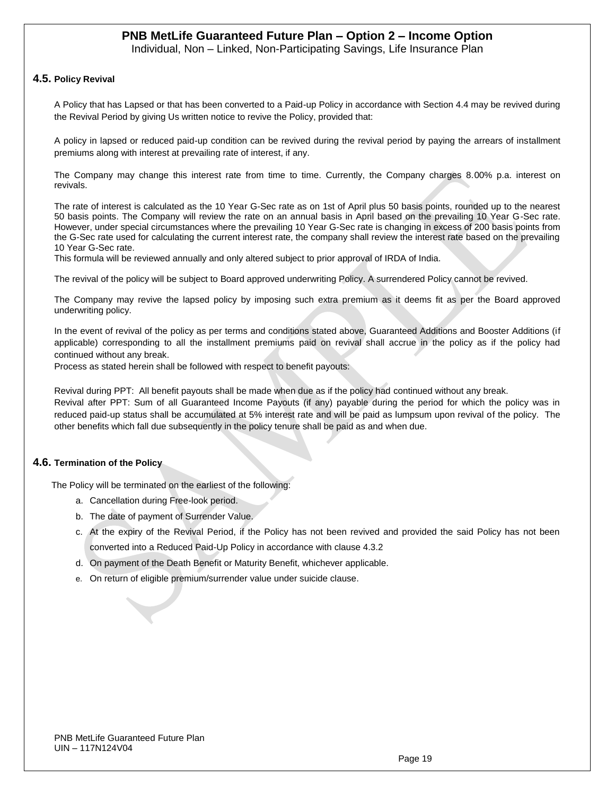Individual, Non – Linked, Non-Participating Savings, Life Insurance Plan

#### **4.5. Policy Revival**

A Policy that has Lapsed or that has been converted to a Paid-up Policy in accordance with Section 4.4 may be revived during the Revival Period by giving Us written notice to revive the Policy, provided that:

A policy in lapsed or reduced paid-up condition can be revived during the revival period by paying the arrears of installment premiums along with interest at prevailing rate of interest, if any.

The Company may change this interest rate from time to time. Currently, the Company charges 8.00% p.a. interest on revivals.

The rate of interest is calculated as the 10 Year G-Sec rate as on 1st of April plus 50 basis points, rounded up to the nearest 50 basis points. The Company will review the rate on an annual basis in April based on the prevailing 10 Year G-Sec rate. However, under special circumstances where the prevailing 10 Year G-Sec rate is changing in excess of 200 basis points from the G-Sec rate used for calculating the current interest rate, the company shall review the interest rate based on the prevailing 10 Year G-Sec rate.

This formula will be reviewed annually and only altered subject to prior approval of IRDA of India.

The revival of the policy will be subject to Board approved underwriting Policy. A surrendered Policy cannot be revived.

The Company may revive the lapsed policy by imposing such extra premium as it deems fit as per the Board approved underwriting policy.

In the event of revival of the policy as per terms and conditions stated above, Guaranteed Additions and Booster Additions (if applicable) corresponding to all the installment premiums paid on revival shall accrue in the policy as if the policy had continued without any break.

Process as stated herein shall be followed with respect to benefit payouts:

Revival during PPT: All benefit payouts shall be made when due as if the policy had continued without any break. Revival after PPT: Sum of all Guaranteed Income Payouts (if any) payable during the period for which the policy was in reduced paid-up status shall be accumulated at 5% interest rate and will be paid as lumpsum upon revival of the policy. The other benefits which fall due subsequently in the policy tenure shall be paid as and when due.

#### **4.6. Termination of the Policy**

The Policy will be terminated on the earliest of the following:

- a. Cancellation during Free-look period.
- b. The date of payment of Surrender Value.
- c. At the expiry of the Revival Period, if the Policy has not been revived and provided the said Policy has not been converted into a Reduced Paid-Up Policy in accordance with clause 4.3.2
- d. On payment of the Death Benefit or Maturity Benefit, whichever applicable.
- e. On return of eligible premium/surrender value under suicide clause.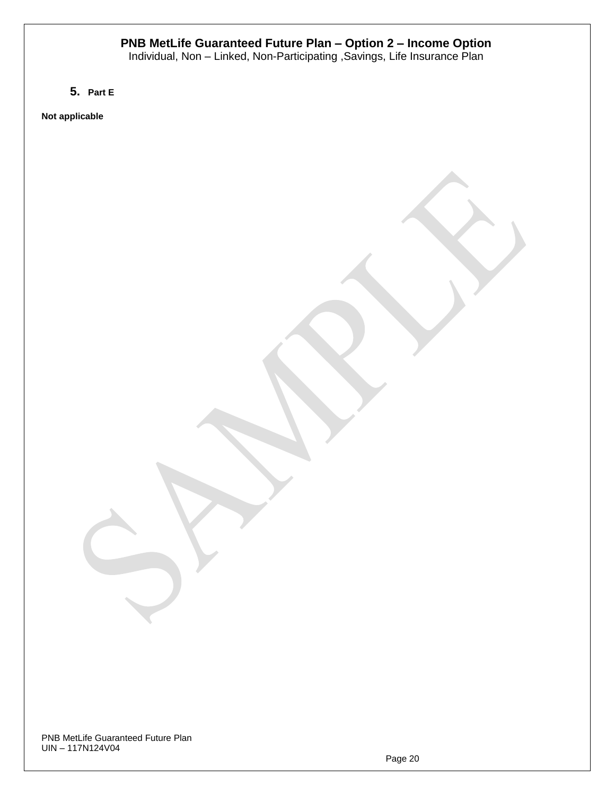Individual, Non – Linked, Non-Participating ,Savings, Life Insurance Plan

**5. Part E**

**Not applicable**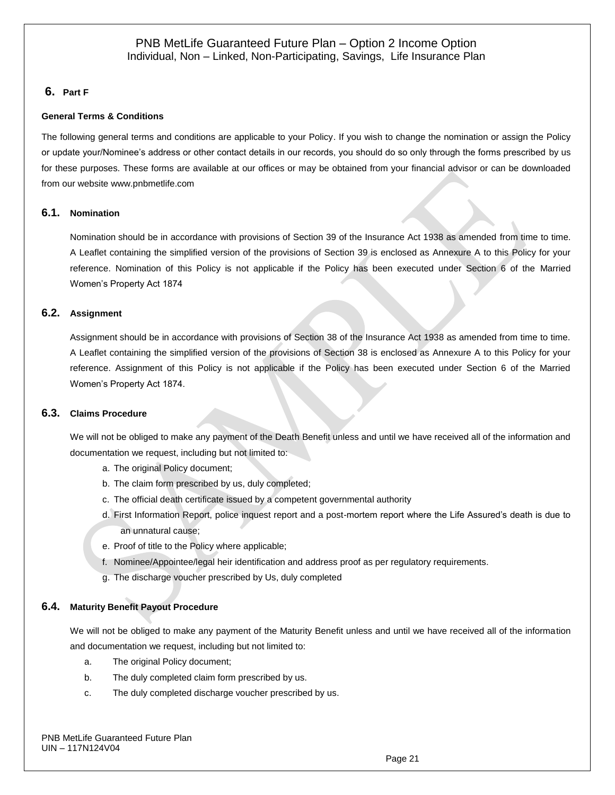### **6. Part F**

#### **General Terms & Conditions**

The following general terms and conditions are applicable to your Policy. If you wish to change the nomination or assign the Policy or update your/Nominee's address or other contact details in our records, you should do so only through the forms prescribed by us for these purposes. These forms are available at our offices or may be obtained from your financial advisor or can be downloaded from our website [www.pnbmetlife.com](http://www.pnbmetlife.com/)

#### **6.1. Nomination**

Nomination should be in accordance with provisions of Section 39 of the Insurance Act 1938 as amended from time to time. A Leaflet containing the simplified version of the provisions of Section 39 is enclosed as Annexure A to this Policy for your reference. Nomination of this Policy is not applicable if the Policy has been executed under Section 6 of the Married Women's Property Act 1874

#### **6.2. Assignment**

Assignment should be in accordance with provisions of Section 38 of the Insurance Act 1938 as amended from time to time. A Leaflet containing the simplified version of the provisions of Section 38 is enclosed as Annexure A to this Policy for your reference. Assignment of this Policy is not applicable if the Policy has been executed under Section 6 of the Married Women's Property Act 1874.

#### **6.3. Claims Procedure**

We will not be obliged to make any payment of the Death Benefit unless and until we have received all of the information and documentation we request, including but not limited to:

- a. The original Policy document;
- b. The claim form prescribed by us, duly completed;
- c. The official death certificate issued by a competent governmental authority
- d. First Information Report, police inquest report and a post-mortem report where the Life Assured's death is due to an unnatural cause;
- e. Proof of title to the Policy where applicable;
- f. Nominee/Appointee/legal heir identification and address proof as per regulatory requirements.
- g. The discharge voucher prescribed by Us, duly completed

#### **6.4. Maturity Benefit Payout Procedure**

We will not be obliged to make any payment of the Maturity Benefit unless and until we have received all of the information and documentation we request, including but not limited to:

- a. The original Policy document;
- b. The duly completed claim form prescribed by us.
- c. The duly completed discharge voucher prescribed by us.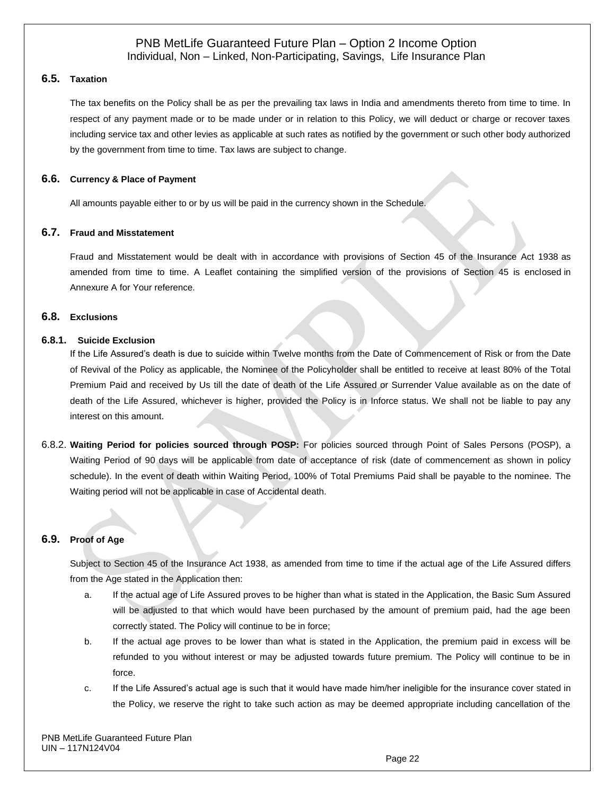#### **6.5. Taxation**

The tax benefits on the Policy shall be as per the prevailing tax laws in India and amendments thereto from time to time. In respect of any payment made or to be made under or in relation to this Policy, we will deduct or charge or recover taxes including service tax and other levies as applicable at such rates as notified by the government or such other body authorized by the government from time to time. Tax laws are subject to change.

#### **6.6. Currency & Place of Payment**

All amounts payable either to or by us will be paid in the currency shown in the Schedule.

#### **6.7. Fraud and Misstatement**

Fraud and Misstatement would be dealt with in accordance with provisions of Section 45 of the Insurance Act 1938 as amended from time to time. A Leaflet containing the simplified version of the provisions of Section 45 is enclosed in Annexure A for Your reference.

### **6.8. Exclusions**

#### **6.8.1. Suicide Exclusion**

If the Life Assured's death is due to suicide within Twelve months from the Date of Commencement of Risk or from the Date of Revival of the Policy as applicable, the Nominee of the Policyholder shall be entitled to receive at least 80% of the Total Premium Paid and received by Us till the date of death of the Life Assured or Surrender Value available as on the date of death of the Life Assured, whichever is higher, provided the Policy is in Inforce status. We shall not be liable to pay any interest on this amount.

6.8.2. **Waiting Period for policies sourced through POSP:** For policies sourced through Point of Sales Persons (POSP), a Waiting Period of 90 days will be applicable from date of acceptance of risk (date of commencement as shown in policy schedule). In the event of death within Waiting Period, 100% of Total Premiums Paid shall be payable to the nominee. The Waiting period will not be applicable in case of Accidental death.

### **6.9. Proof of Age**

Subject to Section 45 of the Insurance Act 1938, as amended from time to time if the actual age of the Life Assured differs from the Age stated in the Application then:

- a. If the actual age of Life Assured proves to be higher than what is stated in the Application, the Basic Sum Assured will be adjusted to that which would have been purchased by the amount of premium paid, had the age been correctly stated. The Policy will continue to be in force;
- b. If the actual age proves to be lower than what is stated in the Application, the premium paid in excess will be refunded to you without interest or may be adjusted towards future premium. The Policy will continue to be in force.
- c. If the Life Assured's actual age is such that it would have made him/her ineligible for the insurance cover stated in the Policy, we reserve the right to take such action as may be deemed appropriate including cancellation of the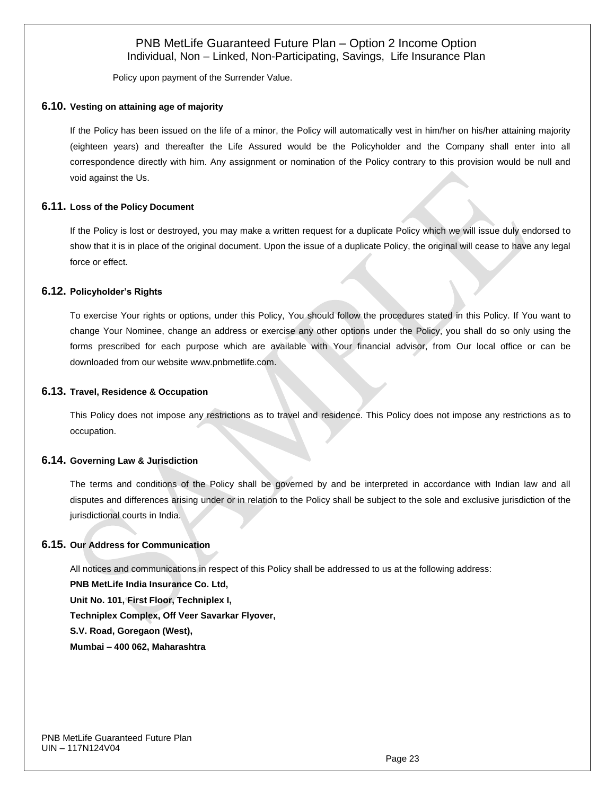Policy upon payment of the Surrender Value.

#### **6.10. Vesting on attaining age of majority**

If the Policy has been issued on the life of a minor, the Policy will automatically vest in him/her on his/her attaining majority (eighteen years) and thereafter the Life Assured would be the Policyholder and the Company shall enter into all correspondence directly with him. Any assignment or nomination of the Policy contrary to this provision would be null and void against the Us.

#### **6.11. Loss of the Policy Document**

If the Policy is lost or destroyed, you may make a written request for a duplicate Policy which we will issue duly endorsed to show that it is in place of the original document. Upon the issue of a duplicate Policy, the original will cease to have any legal force or effect.

#### **6.12. Policyholder's Rights**

To exercise Your rights or options, under this Policy, You should follow the procedures stated in this Policy. If You want to change Your Nominee, change an address or exercise any other options under the Policy, you shall do so only using the forms prescribed for each purpose which are available with Your financial advisor, from Our local office or can be downloaded from our website [www.pnbmetlife.com.](http://www.pnbmetlife.com/)

#### **6.13. Travel, Residence & Occupation**

This Policy does not impose any restrictions as to travel and residence. This Policy does not impose any restrictions as to occupation.

#### **6.14. Governing Law & Jurisdiction**

The terms and conditions of the Policy shall be governed by and be interpreted in accordance with Indian law and all disputes and differences arising under or in relation to the Policy shall be subject to the sole and exclusive jurisdiction of the jurisdictional courts in India.

#### **6.15. Our Address for Communication**

All notices and communications in respect of this Policy shall be addressed to us at the following address: **PNB MetLife India Insurance Co. Ltd, Unit No. 101, First Floor, Techniplex I, Techniplex Complex, Off Veer Savarkar Flyover, S.V. Road, Goregaon (West), Mumbai – 400 062, Maharashtra**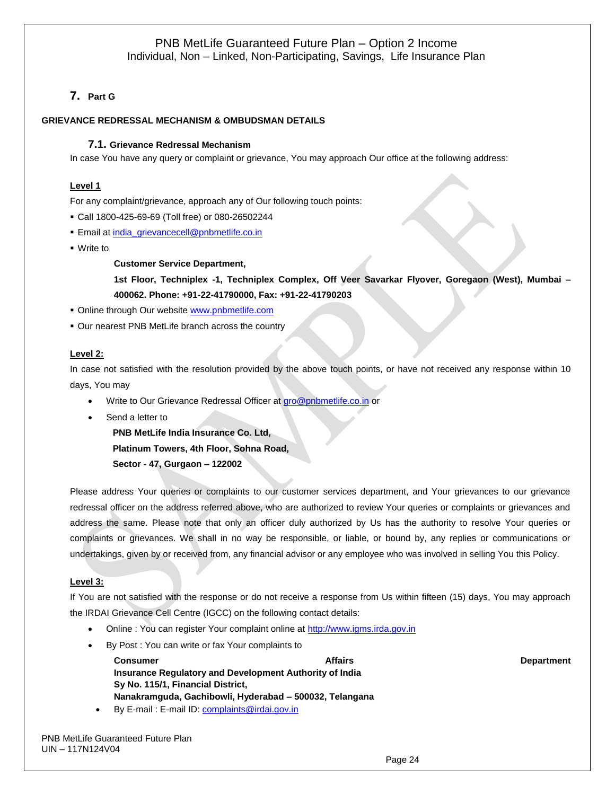# **7. Part G**

#### **GRIEVANCE REDRESSAL MECHANISM & OMBUDSMAN DETAILS**

#### **7.1. Grievance Redressal Mechanism**

In case You have any query or complaint or grievance, You may approach Our office at the following address:

#### **Level 1**

For any complaint/grievance, approach any of Our following touch points:

- Call 1800-425-69-69 (Toll free) or 080-26502244
- **Email a[t india\\_grievancecell@pnbmetlife.co.in](mailto:india_grievancecell@pnbmetlife.co.in)**
- Write to

**Customer Service Department,** 

**1st Floor, Techniplex -1, Techniplex Complex, Off Veer Savarkar Flyover, Goregaon (West), Mumbai – 400062. Phone: +91-22-41790000, Fax: +91-22-41790203**

- **Online through Our website [www.pnbmetlife.com](http://www.pnbmetlife.com/)**
- Our nearest PNB MetLife branch across the country

#### **Level 2:**

In case not satisfied with the resolution provided by the above touch points, or have not received any response within 10 days, You may

- Write to Our Grievance Redressal Officer at [gro@pnbmetlife.co.in](mailto:gro@pnbmetlife.co.in) or
- Send a letter to

**PNB MetLife India Insurance Co. Ltd, Platinum Towers, 4th Floor, Sohna Road,** 

**Sector - 47, Gurgaon – 122002**

Please address Your queries or complaints to our customer services department, and Your grievances to our grievance redressal officer on the address referred above, who are authorized to review Your queries or complaints or grievances and address the same. Please note that only an officer duly authorized by Us has the authority to resolve Your queries or complaints or grievances. We shall in no way be responsible, or liable, or bound by, any replies or communications or undertakings, given by or received from, any financial advisor or any employee who was involved in selling You this Policy.

#### **Level 3:**

If You are not satisfied with the response or do not receive a response from Us within fifteen (15) days, You may approach the IRDAI Grievance Cell Centre (IGCC) on the following contact details:

- Online : You can register Your complaint online at [http://www.igms.irda.gov.in](http://www.igms.irda.gov.in/)
- By Post : You can write or fax Your complaints to

**Consumer Consumer Consumer Consumer Affairs** Affairs Affairs Affairs Affairs Department **Insurance Regulatory and Development Authority of India Sy No. 115/1, Financial District, Nanakramguda, Gachibowli, Hyderabad – 500032, Telangana**

• By E-mail : E-mail ID[: complaints@irdai.gov.in](mailto:complaints@irdai.gov.in)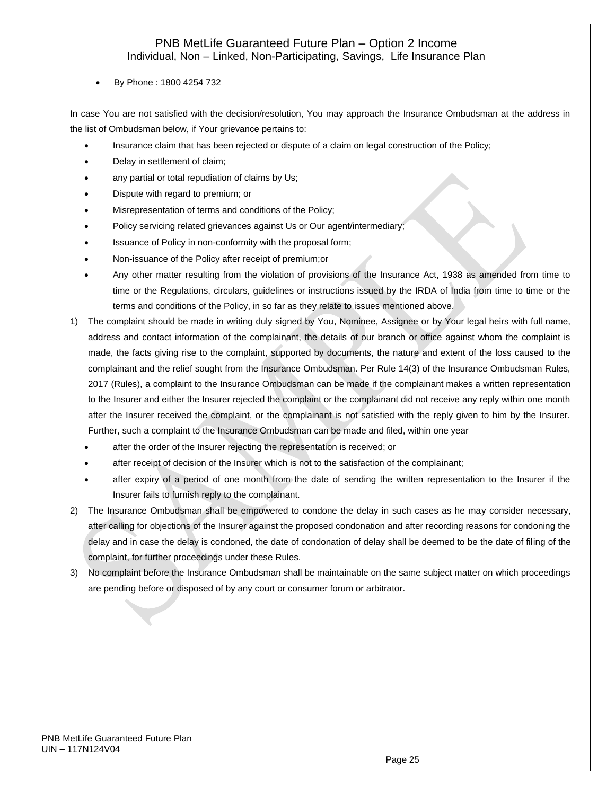• By Phone : 1800 4254 732

In case You are not satisfied with the decision/resolution, You may approach the Insurance Ombudsman at the address in the list of Ombudsman below, if Your grievance pertains to:

- Insurance claim that has been rejected or dispute of a claim on legal construction of the Policy;
- Delay in settlement of claim;
- any partial or total repudiation of claims by Us;
- Dispute with regard to premium; or
- Misrepresentation of terms and conditions of the Policy;
- Policy servicing related grievances against Us or Our agent/intermediary;
- Issuance of Policy in non-conformity with the proposal form;
- Non-issuance of the Policy after receipt of premium;or
- Any other matter resulting from the violation of provisions of the Insurance Act, 1938 as amended from time to time or the Regulations, circulars, guidelines or instructions issued by the IRDA of India from time to time or the terms and conditions of the Policy, in so far as they relate to issues mentioned above.
- 1) The complaint should be made in writing duly signed by You, Nominee, Assignee or by Your legal heirs with full name, address and contact information of the complainant, the details of our branch or office against whom the complaint is made, the facts giving rise to the complaint, supported by documents, the nature and extent of the loss caused to the complainant and the relief sought from the Insurance Ombudsman. Per Rule 14(3) of the Insurance Ombudsman Rules, 2017 (Rules), a complaint to the Insurance Ombudsman can be made if the complainant makes a written representation to the Insurer and either the Insurer rejected the complaint or the complainant did not receive any reply within one month after the Insurer received the complaint, or the complainant is not satisfied with the reply given to him by the Insurer. Further, such a complaint to the Insurance Ombudsman can be made and filed, within one year
	- after the order of the Insurer rejecting the representation is received; or
	- after receipt of decision of the Insurer which is not to the satisfaction of the complainant;
	- after expiry of a period of one month from the date of sending the written representation to the Insurer if the Insurer fails to furnish reply to the complainant.
- 2) The Insurance Ombudsman shall be empowered to condone the delay in such cases as he may consider necessary, after calling for objections of the Insurer against the proposed condonation and after recording reasons for condoning the delay and in case the delay is condoned, the date of condonation of delay shall be deemed to be the date of filing of the complaint, for further proceedings under these Rules.
- 3) No complaint before the Insurance Ombudsman shall be maintainable on the same subject matter on which proceedings are pending before or disposed of by any court or consumer forum or arbitrator.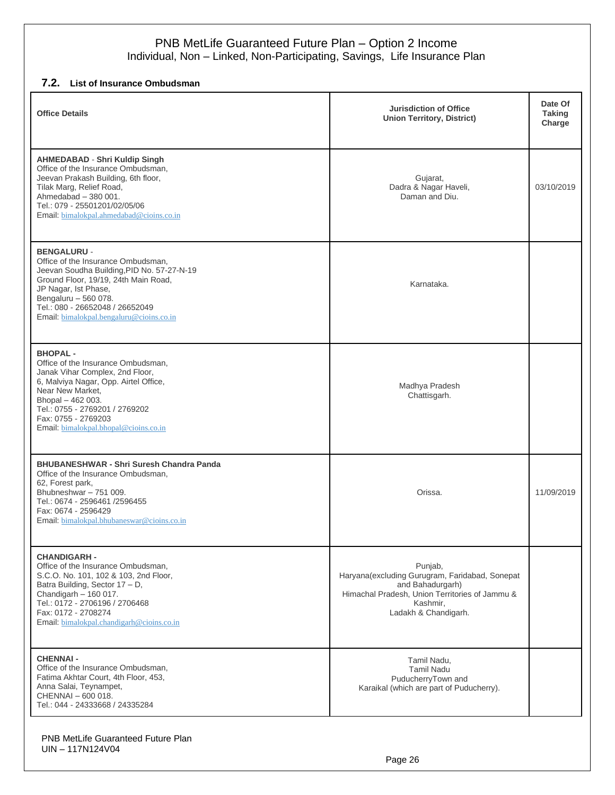# **7.2. List of Insurance Ombudsman**

| <b>Office Details</b>                                                                                                                                                                                                                                                         | <b>Jurisdiction of Office</b><br><b>Union Territory, District)</b>                                                                                                  | Date Of<br><b>Taking</b><br>Charge |
|-------------------------------------------------------------------------------------------------------------------------------------------------------------------------------------------------------------------------------------------------------------------------------|---------------------------------------------------------------------------------------------------------------------------------------------------------------------|------------------------------------|
| <b>AHMEDABAD - Shri Kuldip Singh</b><br>Office of the Insurance Ombudsman,<br>Jeevan Prakash Building, 6th floor,<br>Tilak Marg, Relief Road,<br>Ahmedabad - 380 001.<br>Tel.: 079 - 25501201/02/05/06<br>Email: bimalokpal.ahmedabad@cioins.co.in                            | Gujarat,<br>Dadra & Nagar Haveli,<br>Daman and Diu.                                                                                                                 | 03/10/2019                         |
| <b>BENGALURU -</b><br>Office of the Insurance Ombudsman,<br>Jeevan Soudha Building, PID No. 57-27-N-19<br>Ground Floor, 19/19, 24th Main Road,<br>JP Nagar, Ist Phase,<br>Bengaluru - 560 078.<br>Tel.: 080 - 26652048 / 26652049<br>Email: bimalokpal.bengaluru@cioins.co.in | Karnataka.                                                                                                                                                          |                                    |
| <b>BHOPAL-</b><br>Office of the Insurance Ombudsman.<br>Janak Vihar Complex, 2nd Floor,<br>6, Malviya Nagar, Opp. Airtel Office,<br>Near New Market,<br>Bhopal - 462 003.<br>Tel.: 0755 - 2769201 / 2769202<br>Fax: 0755 - 2769203<br>Email: bimalokpal.bhopal@cioins.co.in   | Madhya Pradesh<br>Chattisgarh.                                                                                                                                      |                                    |
| <b>BHUBANESHWAR - Shri Suresh Chandra Panda</b><br>Office of the Insurance Ombudsman,<br>62, Forest park,<br>Bhubneshwar - 751 009.<br>Tel.: 0674 - 2596461 /2596455<br>Fax: 0674 - 2596429<br>Email: bimalokpal.bhubaneswar@cioins.co.in                                     | Orissa.                                                                                                                                                             | 11/09/2019                         |
| <b>CHANDIGARH -</b><br>Office of the Insurance Ombudsman,<br>S.C.O. No. 101, 102 & 103, 2nd Floor,<br>Batra Building, Sector 17 - D,<br>Chandigarh - 160 017.<br>Tel.: 0172 - 2706196 / 2706468<br>Fax: 0172 - 2708274<br>Email: bimalokpal.chandigarh@cioins.co.in           | Punjab,<br>Haryana(excluding Gurugram, Faridabad, Sonepat<br>and Bahadurgarh)<br>Himachal Pradesh, Union Territories of Jammu &<br>Kashmir,<br>Ladakh & Chandigarh. |                                    |
| <b>CHENNAI-</b><br>Office of the Insurance Ombudsman,<br>Fatima Akhtar Court, 4th Floor, 453,<br>Anna Salai, Teynampet,<br>CHENNAI - 600 018.<br>Tel.: 044 - 24333668 / 24335284                                                                                              | Tamil Nadu,<br><b>Tamil Nadu</b><br>PuducherryTown and<br>Karaikal (which are part of Puducherry).                                                                  |                                    |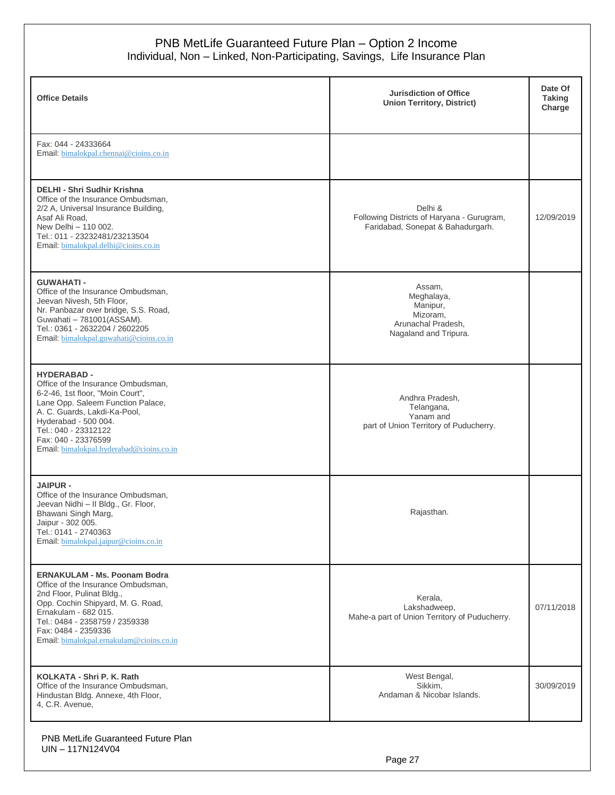| <b>Office Details</b>                                                                                                                                                                                                                                                                | <b>Jurisdiction of Office</b><br><b>Union Territory, District)</b>                          | Date Of<br><b>Taking</b><br>Charge |
|--------------------------------------------------------------------------------------------------------------------------------------------------------------------------------------------------------------------------------------------------------------------------------------|---------------------------------------------------------------------------------------------|------------------------------------|
| Fax: 044 - 24333664<br>Email: bimalokpal.chennai@cioins.co.in                                                                                                                                                                                                                        |                                                                                             |                                    |
| <b>DELHI - Shri Sudhir Krishna</b><br>Office of the Insurance Ombudsman.<br>2/2 A, Universal Insurance Building,<br>Asaf Ali Road,<br>New Delhi - 110 002.<br>Tel.: 011 - 23232481/23213504<br>Email: bimalokpal.delhi@cioins.co.in                                                  | Delhi &<br>Following Districts of Haryana - Gurugram,<br>Faridabad, Sonepat & Bahadurgarh.  | 12/09/2019                         |
| <b>GUWAHATI-</b><br>Office of the Insurance Ombudsman,<br>Jeevan Nivesh, 5th Floor,<br>Nr. Panbazar over bridge, S.S. Road,<br>Guwahati - 781001(ASSAM).<br>Tel.: 0361 - 2632204 / 2602205<br>Email: bimalokpal.guwahati@cioins.co.in                                                | Assam,<br>Meghalaya,<br>Manipur,<br>Mizoram,<br>Arunachal Pradesh,<br>Nagaland and Tripura. |                                    |
| <b>HYDERABAD -</b><br>Office of the Insurance Ombudsman,<br>6-2-46, 1st floor, "Moin Court",<br>Lane Opp. Saleem Function Palace,<br>A. C. Guards, Lakdi-Ka-Pool,<br>Hyderabad - 500 004.<br>Tel.: 040 - 23312122<br>Fax: 040 - 23376599<br>Email: bimalokpal.hyderabad@cioins.co.in | Andhra Pradesh,<br>Telangana,<br>Yanam and<br>part of Union Territory of Puducherry.        |                                    |
| <b>JAIPUR -</b><br>Office of the Insurance Ombudsman,<br>Jeevan Nidhi - Il Bldg., Gr. Floor,<br>Bhawani Singh Marg,<br>Jaipur - 302 005.<br>Tel.: 0141 - 2740363<br>Email: bimalokpal.jaipur@cioins.co.in                                                                            | Rajasthan.                                                                                  |                                    |
| <b>ERNAKULAM - Ms. Poonam Bodra</b><br>Office of the Insurance Ombudsman,<br>2nd Floor, Pulinat Bldg.,<br>Opp. Cochin Shipyard, M. G. Road,<br>Ernakulam - 682 015.<br>Tel.: 0484 - 2358759 / 2359338<br>Fax: 0484 - 2359336<br>Email: bimalokpal.ernakulam@cioins.co.in             | Kerala,<br>Lakshadweep,<br>Mahe-a part of Union Territory of Puducherry.                    | 07/11/2018                         |
| KOLKATA - Shri P. K. Rath<br>Office of the Insurance Ombudsman,<br>Hindustan Bldg. Annexe, 4th Floor,<br>4, C.R. Avenue,                                                                                                                                                             | West Bengal,<br>Sikkim,<br>Andaman & Nicobar Islands.                                       | 30/09/2019                         |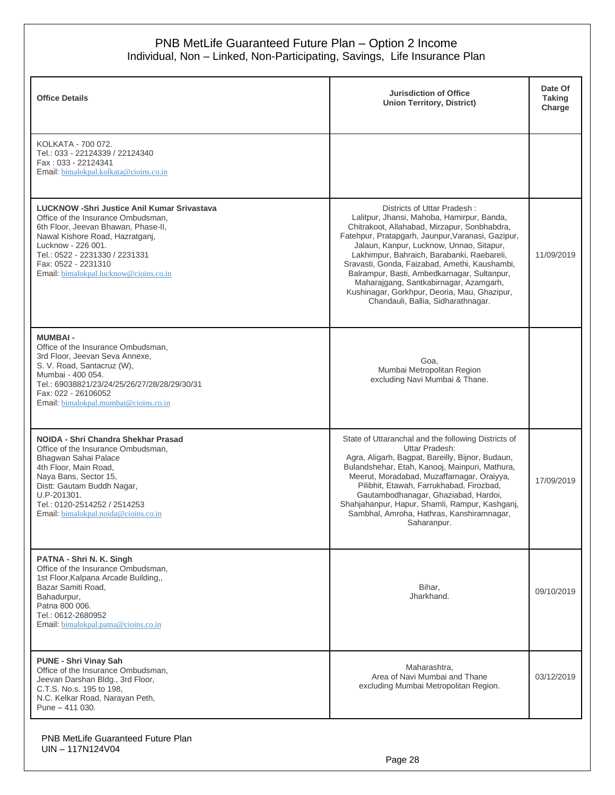| <b>Office Details</b>                                                                                                                                                                                                                                                                       | <b>Jurisdiction of Office</b><br><b>Union Territory, District)</b>                                                                                                                                                                                                                                                                                                                                                                                                                                       | Date Of<br><b>Taking</b><br>Charge |
|---------------------------------------------------------------------------------------------------------------------------------------------------------------------------------------------------------------------------------------------------------------------------------------------|----------------------------------------------------------------------------------------------------------------------------------------------------------------------------------------------------------------------------------------------------------------------------------------------------------------------------------------------------------------------------------------------------------------------------------------------------------------------------------------------------------|------------------------------------|
| KOLKATA - 700 072.<br>Tel.: 033 - 22124339 / 22124340<br>Fax: 033 - 22124341<br>Email: bimalokpal.kolkata@cioins.co.in                                                                                                                                                                      |                                                                                                                                                                                                                                                                                                                                                                                                                                                                                                          |                                    |
| <b>LUCKNOW -Shri Justice Anil Kumar Srivastava</b><br>Office of the Insurance Ombudsman,<br>6th Floor, Jeevan Bhawan, Phase-II,<br>Nawal Kishore Road, Hazratganj,<br>Lucknow - 226 001.<br>Tel.: 0522 - 2231330 / 2231331<br>Fax: 0522 - 2231310<br>Email: bimalokpal.lucknow@cioins.co.in | Districts of Uttar Pradesh:<br>Lalitpur, Jhansi, Mahoba, Hamirpur, Banda,<br>Chitrakoot, Allahabad, Mirzapur, Sonbhabdra,<br>Fatehpur, Pratapgarh, Jaunpur, Varanasi, Gazipur,<br>Jalaun, Kanpur, Lucknow, Unnao, Sitapur,<br>Lakhimpur, Bahraich, Barabanki, Raebareli,<br>Sravasti, Gonda, Faizabad, Amethi, Kaushambi,<br>Balrampur, Basti, Ambedkarnagar, Sultanpur,<br>Maharajgang, Santkabirnagar, Azamgarh,<br>Kushinagar, Gorkhpur, Deoria, Mau, Ghazipur,<br>Chandauli, Ballia, Sidharathnagar. | 11/09/2019                         |
| <b>MUMBAI-</b><br>Office of the Insurance Ombudsman,<br>3rd Floor, Jeevan Seva Annexe,<br>S. V. Road, Santacruz (W),<br>Mumbai - 400 054.<br>Tel.: 69038821/23/24/25/26/27/28/28/29/30/31<br>Fax: 022 - 26106052<br>Email: bimalokpal.mumbai@cioins.co.in                                   | Goa,<br>Mumbai Metropolitan Region<br>excluding Navi Mumbai & Thane.                                                                                                                                                                                                                                                                                                                                                                                                                                     |                                    |
| NOIDA - Shri Chandra Shekhar Prasad<br>Office of the Insurance Ombudsman,<br>Bhagwan Sahai Palace<br>4th Floor, Main Road,<br>Naya Bans, Sector 15,<br>Distt: Gautam Buddh Nagar,<br>U.P-201301.<br>Tel.: 0120-2514252 / 2514253<br>Email: bimalokpal.noida@cioins.co.in                    | State of Uttaranchal and the following Districts of<br>Uttar Pradesh:<br>Agra, Aligarh, Bagpat, Bareilly, Bijnor, Budaun,<br>Bulandshehar, Etah, Kanooj, Mainpuri, Mathura,<br>Meerut, Moradabad, Muzaffarnagar, Oraiyya,<br>Pilibhit, Etawah, Farrukhabad, Firozbad,<br>Gautambodhanagar, Ghaziabad, Hardoi,<br>Shahjahanpur, Hapur, Shamli, Rampur, Kashganj,<br>Sambhal, Amroha, Hathras, Kanshiramnagar,<br>Saharanpur.                                                                              | 17/09/2019                         |
| PATNA - Shri N. K. Singh<br>Office of the Insurance Ombudsman,<br>1st Floor, Kalpana Arcade Building,<br>Bazar Samiti Road,<br>Bahadurpur,<br>Patna 800 006.<br>Tel.: 0612-2680952<br>Email: bimalokpal.patna@cioins.co.in                                                                  | Bihar,<br>Jharkhand.                                                                                                                                                                                                                                                                                                                                                                                                                                                                                     | 09/10/2019                         |
| <b>PUNE - Shri Vinay Sah</b><br>Office of the Insurance Ombudsman,<br>Jeevan Darshan Bldg., 3rd Floor,<br>C.T.S. No.s. 195 to 198.<br>N.C. Kelkar Road, Narayan Peth,<br>Pune - 411 030.                                                                                                    | Maharashtra,<br>Area of Navi Mumbai and Thane<br>excluding Mumbai Metropolitan Region.                                                                                                                                                                                                                                                                                                                                                                                                                   | 03/12/2019                         |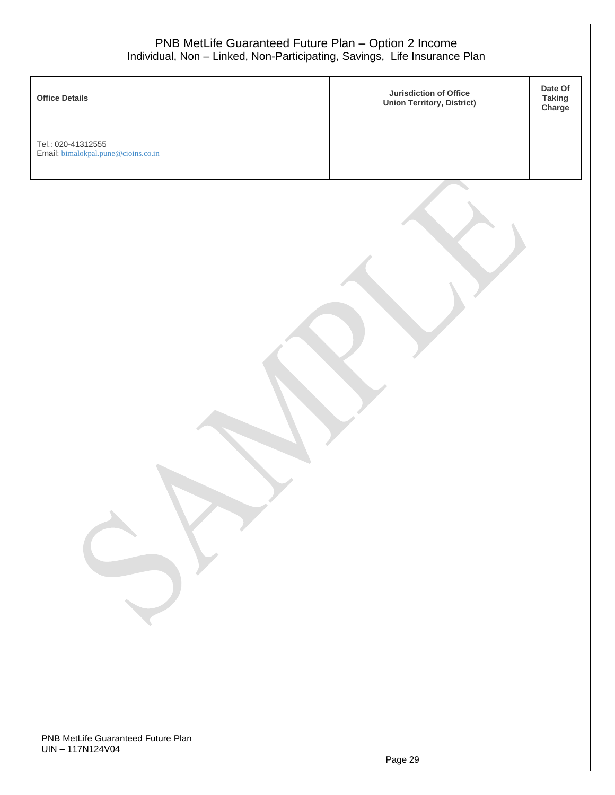| Individual, Non - Linked, Non-Participating, Savings, Life Insurance Plan<br><b>Office Details</b> | PNB MetLife Guaranteed Future Plan - Option 2 Income<br>Jurisdiction of Office | Date Of<br><b>Taking</b> |
|----------------------------------------------------------------------------------------------------|--------------------------------------------------------------------------------|--------------------------|
|                                                                                                    | <b>Union Territory, District)</b>                                              | Charge                   |
| Tel.: 020-41312555<br>Email: bimalokpal.pune@cioins.co.in                                          |                                                                                |                          |
|                                                                                                    |                                                                                |                          |
|                                                                                                    |                                                                                |                          |
|                                                                                                    |                                                                                |                          |

PNB MetLife Guaranteed Future Plan UIN – 117N124V04

Г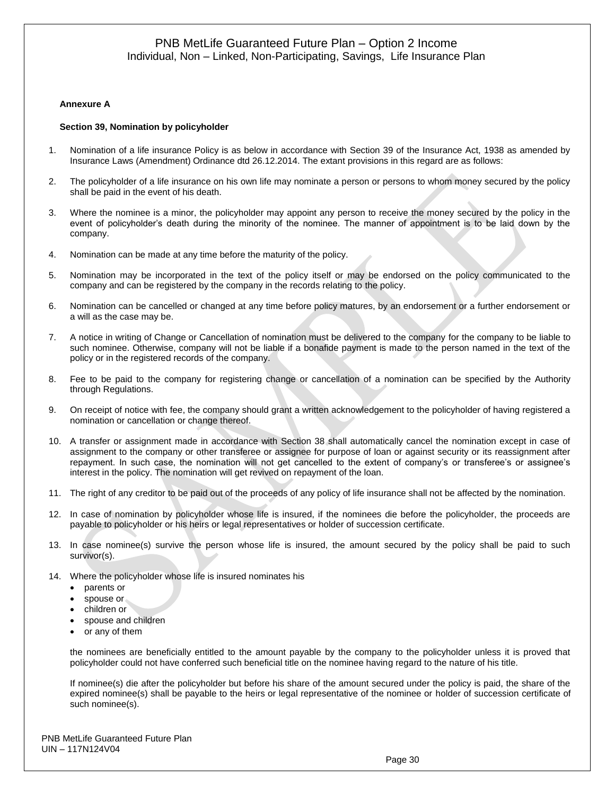#### **Annexure A**

#### **Section 39, Nomination by policyholder**

- 1. Nomination of a life insurance Policy is as below in accordance with Section 39 of the Insurance Act, 1938 as amended by Insurance Laws (Amendment) Ordinance dtd 26.12.2014. The extant provisions in this regard are as follows:
- 2. The policyholder of a life insurance on his own life may nominate a person or persons to whom money secured by the policy shall be paid in the event of his death.
- 3. Where the nominee is a minor, the policyholder may appoint any person to receive the money secured by the policy in the event of policyholder's death during the minority of the nominee. The manner of appointment is to be laid down by the company.
- 4. Nomination can be made at any time before the maturity of the policy.
- 5. Nomination may be incorporated in the text of the policy itself or may be endorsed on the policy communicated to the company and can be registered by the company in the records relating to the policy.
- 6. Nomination can be cancelled or changed at any time before policy matures, by an endorsement or a further endorsement or a will as the case may be.
- 7. A notice in writing of Change or Cancellation of nomination must be delivered to the company for the company to be liable to such nominee. Otherwise, company will not be liable if a bonafide payment is made to the person named in the text of the policy or in the registered records of the company.
- 8. Fee to be paid to the company for registering change or cancellation of a nomination can be specified by the Authority through Regulations.
- 9. On receipt of notice with fee, the company should grant a written acknowledgement to the policyholder of having registered a nomination or cancellation or change thereof.
- 10. A transfer or assignment made in accordance with Section 38 shall automatically cancel the nomination except in case of assignment to the company or other transferee or assignee for purpose of loan or against security or its reassignment after repayment. In such case, the nomination will not get cancelled to the extent of company's or transferee's or assignee's interest in the policy. The nomination will get revived on repayment of the loan.
- 11. The right of any creditor to be paid out of the proceeds of any policy of life insurance shall not be affected by the nomination.
- 12. In case of nomination by policyholder whose life is insured, if the nominees die before the policyholder, the proceeds are payable to policyholder or his heirs or legal representatives or holder of succession certificate.
- 13. In case nominee(s) survive the person whose life is insured, the amount secured by the policy shall be paid to such survivor(s).
- 14. Where the policyholder whose life is insured nominates his
	- parents or
	- spouse or
	- children or
	- spouse and children
	- or any of them

the nominees are beneficially entitled to the amount payable by the company to the policyholder unless it is proved that policyholder could not have conferred such beneficial title on the nominee having regard to the nature of his title.

If nominee(s) die after the policyholder but before his share of the amount secured under the policy is paid, the share of the expired nominee(s) shall be payable to the heirs or legal representative of the nominee or holder of succession certificate of such nominee(s).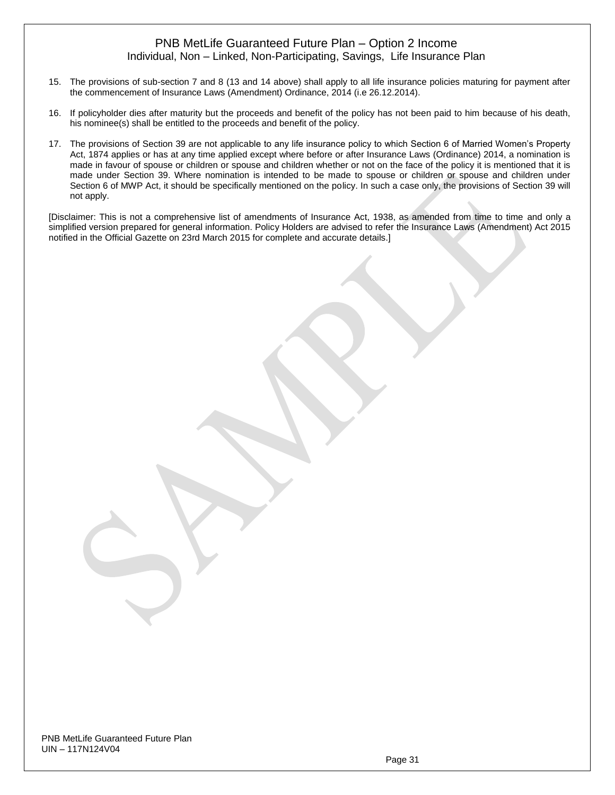- 15. The provisions of sub-section 7 and 8 (13 and 14 above) shall apply to all life insurance policies maturing for payment after the commencement of Insurance Laws (Amendment) Ordinance, 2014 (i.e 26.12.2014).
- 16. If policyholder dies after maturity but the proceeds and benefit of the policy has not been paid to him because of his death, his nominee(s) shall be entitled to the proceeds and benefit of the policy.
- 17. The provisions of Section 39 are not applicable to any life insurance policy to which Section 6 of Married Women's Property Act, 1874 applies or has at any time applied except where before or after Insurance Laws (Ordinance) 2014, a nomination is made in favour of spouse or children or spouse and children whether or not on the face of the policy it is mentioned that it is made under Section 39. Where nomination is intended to be made to spouse or children or spouse and children under Section 6 of MWP Act, it should be specifically mentioned on the policy. In such a case only, the provisions of Section 39 will not apply.

[Disclaimer: This is not a comprehensive list of amendments of Insurance Act, 1938, as amended from time to time and only a simplified version prepared for general information. Policy Holders are advised to refer the Insurance Laws (Amendment) Act 2015 notified in the Official Gazette on 23rd March 2015 for complete and accurate details.]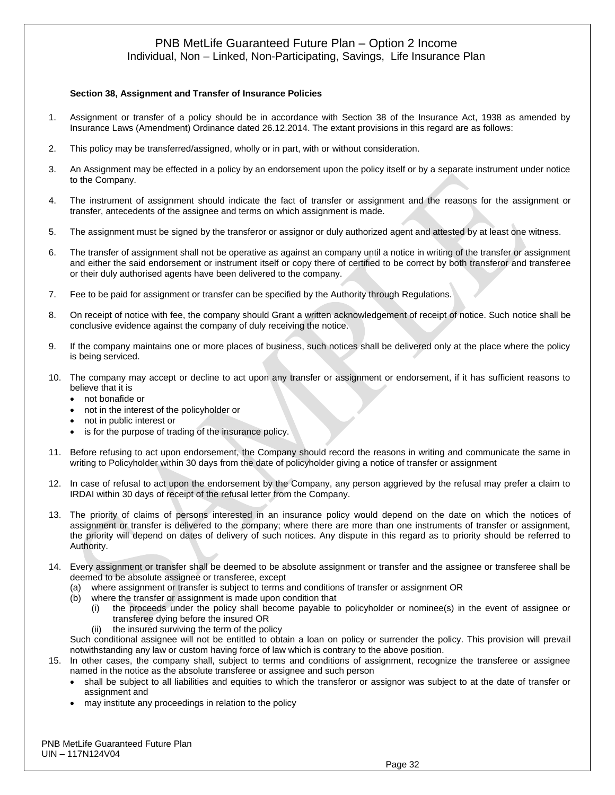#### **Section 38, Assignment and Transfer of Insurance Policies**

- 1. Assignment or transfer of a policy should be in accordance with Section 38 of the Insurance Act, 1938 as amended by Insurance Laws (Amendment) Ordinance dated 26.12.2014. The extant provisions in this regard are as follows:
- 2. This policy may be transferred/assigned, wholly or in part, with or without consideration.
- 3. An Assignment may be effected in a policy by an endorsement upon the policy itself or by a separate instrument under notice to the Company.
- 4. The instrument of assignment should indicate the fact of transfer or assignment and the reasons for the assignment or transfer, antecedents of the assignee and terms on which assignment is made.
- 5. The assignment must be signed by the transferor or assignor or duly authorized agent and attested by at least one witness.
- 6. The transfer of assignment shall not be operative as against an company until a notice in writing of the transfer or assignment and either the said endorsement or instrument itself or copy there of certified to be correct by both transferor and transferee or their duly authorised agents have been delivered to the company.
- 7. Fee to be paid for assignment or transfer can be specified by the Authority through Regulations.
- 8. On receipt of notice with fee, the company should Grant a written acknowledgement of receipt of notice. Such notice shall be conclusive evidence against the company of duly receiving the notice.
- 9. If the company maintains one or more places of business, such notices shall be delivered only at the place where the policy is being serviced.
- 10. The company may accept or decline to act upon any transfer or assignment or endorsement, if it has sufficient reasons to believe that it is
	- not bonafide or
	- not in the interest of the policyholder or
	- not in public interest or
	- is for the purpose of trading of the insurance policy.
- 11. Before refusing to act upon endorsement, the Company should record the reasons in writing and communicate the same in writing to Policyholder within 30 days from the date of policyholder giving a notice of transfer or assignment
- 12. In case of refusal to act upon the endorsement by the Company, any person aggrieved by the refusal may prefer a claim to IRDAI within 30 days of receipt of the refusal letter from the Company.
- 13. The priority of claims of persons interested in an insurance policy would depend on the date on which the notices of assignment or transfer is delivered to the company; where there are more than one instruments of transfer or assignment, the priority will depend on dates of delivery of such notices. Any dispute in this regard as to priority should be referred to Authority.
- 14. Every assignment or transfer shall be deemed to be absolute assignment or transfer and the assignee or transferee shall be deemed to be absolute assignee or transferee, except
	- (a) where assignment or transfer is subject to terms and conditions of transfer or assignment OR
	- (b) where the transfer or assignment is made upon condition that
		- (i) the proceeds under the policy shall become payable to policyholder or nominee(s) in the event of assignee or transferee dying before the insured OR
		- (ii) the insured surviving the term of the policy

Such conditional assignee will not be entitled to obtain a loan on policy or surrender the policy. This provision will prevail notwithstanding any law or custom having force of law which is contrary to the above position.

- 15. In other cases, the company shall, subject to terms and conditions of assignment, recognize the transferee or assignee named in the notice as the absolute transferee or assignee and such person
	- shall be subject to all liabilities and equities to which the transferor or assignor was subject to at the date of transfer or assignment and
	- may institute any proceedings in relation to the policy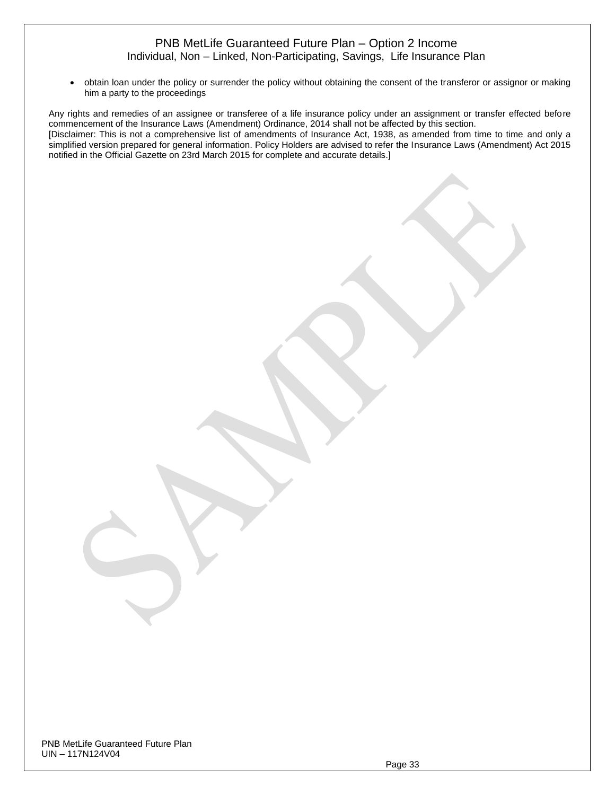• obtain loan under the policy or surrender the policy without obtaining the consent of the transferor or assignor or making him a party to the proceedings

Any rights and remedies of an assignee or transferee of a life insurance policy under an assignment or transfer effected before commencement of the Insurance Laws (Amendment) Ordinance, 2014 shall not be affected by this section. [Disclaimer: This is not a comprehensive list of amendments of Insurance Act, 1938, as amended from time to time and only a simplified version prepared for general information. Policy Holders are advised to refer the Insurance Laws (Amendment) Act 2015 notified in the Official Gazette on 23rd March 2015 for complete and accurate details.]